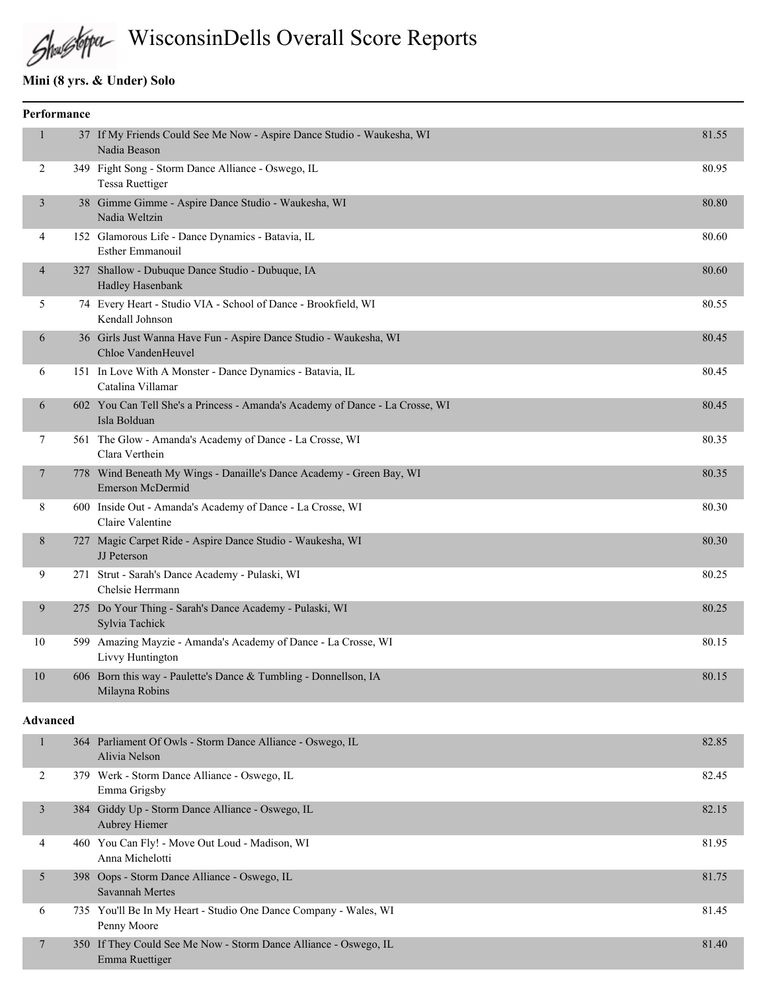# Shustopa WisconsinDells Overall Score Reports

# **Mini (8 yrs. & Under) Solo**

| Performance    |                                                                                                 |       |
|----------------|-------------------------------------------------------------------------------------------------|-------|
| $\mathbf{1}$   | 37 If My Friends Could See Me Now - Aspire Dance Studio - Waukesha, WI<br>Nadia Beason          | 81.55 |
| 2              | 349 Fight Song - Storm Dance Alliance - Oswego, IL<br><b>Tessa Ruettiger</b>                    | 80.95 |
| 3              | 38 Gimme Gimme - Aspire Dance Studio - Waukesha, WI<br>Nadia Weltzin                            | 80.80 |
| $\overline{4}$ | 152 Glamorous Life - Dance Dynamics - Batavia, IL<br><b>Esther Emmanouil</b>                    | 80.60 |
| $\overline{4}$ | 327 Shallow - Dubuque Dance Studio - Dubuque, IA<br><b>Hadley Hasenbank</b>                     | 80.60 |
| 5              | 74 Every Heart - Studio VIA - School of Dance - Brookfield, WI<br>Kendall Johnson               | 80.55 |
| 6              | 36 Girls Just Wanna Have Fun - Aspire Dance Studio - Waukesha, WI<br>Chloe VandenHeuvel         | 80.45 |
| 6              | 151 In Love With A Monster - Dance Dynamics - Batavia, IL<br>Catalina Villamar                  | 80.45 |
| 6              | 602 You Can Tell She's a Princess - Amanda's Academy of Dance - La Crosse, WI<br>Isla Bolduan   | 80.45 |
| 7              | 561 The Glow - Amanda's Academy of Dance - La Crosse, WI<br>Clara Verthein                      | 80.35 |
| 7              | 778 Wind Beneath My Wings - Danaille's Dance Academy - Green Bay, WI<br><b>Emerson McDermid</b> | 80.35 |
| 8              | 600 Inside Out - Amanda's Academy of Dance - La Crosse, WI<br>Claire Valentine                  | 80.30 |
| 8              | 727 Magic Carpet Ride - Aspire Dance Studio - Waukesha, WI<br><b>JJ</b> Peterson                | 80.30 |
| 9              | 271 Strut - Sarah's Dance Academy - Pulaski, WI<br>Chelsie Herrmann                             | 80.25 |
| 9              | 275 Do Your Thing - Sarah's Dance Academy - Pulaski, WI<br>Sylvia Tachick                       | 80.25 |
| 10             | 599 Amazing Mayzie - Amanda's Academy of Dance - La Crosse, WI<br>Livvy Huntington              | 80.15 |
| 10             | 606 Born this way - Paulette's Dance & Tumbling - Donnellson, IA<br>Milayna Robins              | 80.15 |
| Advanced       |                                                                                                 |       |
| 1              | 364 Parliament Of Owls - Storm Dance Alliance - Oswego, IL                                      | 82.85 |

|   | Alivia Nelson                                                                      |       |
|---|------------------------------------------------------------------------------------|-------|
| 2 | 379 Werk - Storm Dance Alliance - Oswego, IL<br>Emma Grigsby                       | 82.45 |
| 3 | 384 Giddy Up - Storm Dance Alliance - Oswego, IL<br><b>Aubrey Hiemer</b>           | 82.15 |
| 4 | 460 You Can Fly! - Move Out Loud - Madison, WI<br>Anna Michelotti                  | 81.95 |
| 5 | 398 Oops - Storm Dance Alliance - Oswego, IL<br>Savannah Mertes                    | 81.75 |
| 6 | 735 You'll Be In My Heart - Studio One Dance Company - Wales, WI<br>Penny Moore    | 81.45 |
|   | 350 If They Could See Me Now - Storm Dance Alliance - Oswego, IL<br>Emma Ruettiger | 81.40 |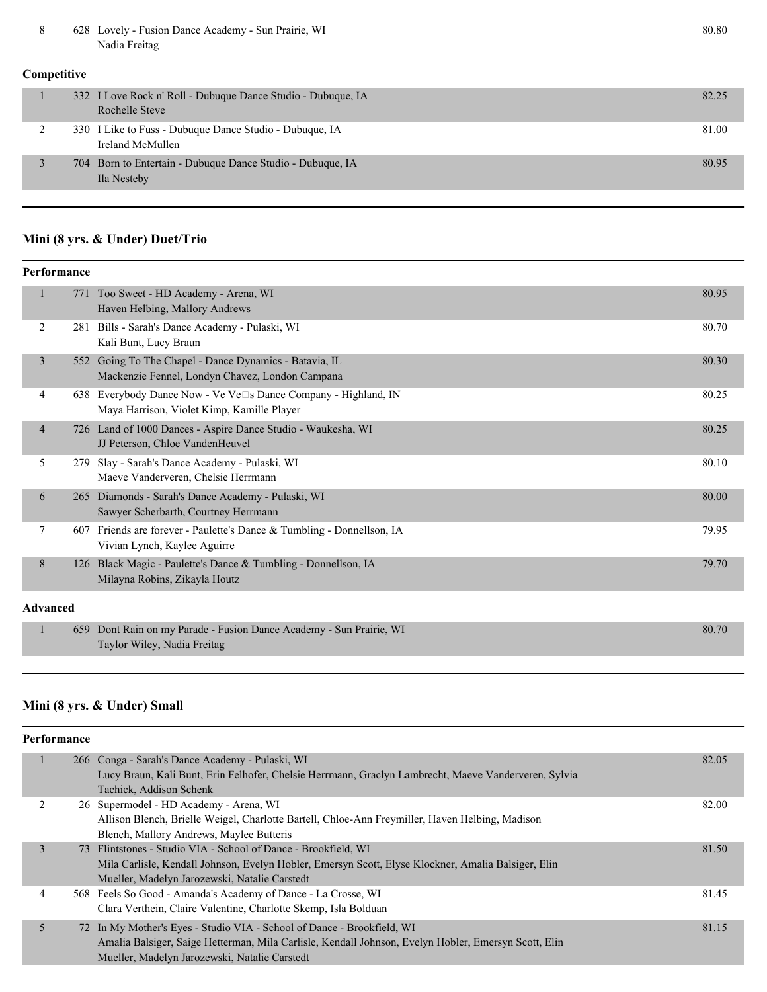8 628 Lovely - Fusion Dance Academy - Sun Prairie, WI 80.80 Nadia Freitag

#### **Competitive**

| 332 I Love Rock n' Roll - Dubuque Dance Studio - Dubuque, IA<br>Rochelle Steve | 82.25 |
|--------------------------------------------------------------------------------|-------|
| 330 I Like to Fuss - Dubuque Dance Studio - Dubuque, IA<br>Ireland McMullen    | 81.00 |
| 704 Born to Entertain - Dubuque Dance Studio - Dubuque, IA<br>Ila Nesteby      | 80.95 |

#### **Mini (8 yrs. & Under) Duet/Trio**

| Performance     |                |     |                                                                                                              |       |
|-----------------|----------------|-----|--------------------------------------------------------------------------------------------------------------|-------|
|                 |                |     | 771 Too Sweet - HD Academy - Arena, WI<br>Haven Helbing, Mallory Andrews                                     | 80.95 |
|                 | 2              |     | 281 Bills - Sarah's Dance Academy - Pulaski, WI<br>Kali Bunt, Lucy Braun                                     | 80.70 |
|                 | $\overline{3}$ |     | 552 Going To The Chapel - Dance Dynamics - Batavia, IL<br>Mackenzie Fennel, Londyn Chavez, London Campana    | 80.30 |
|                 | 4              |     | 638 Everybody Dance Now - Ve Ve□s Dance Company - Highland, IN<br>Maya Harrison, Violet Kimp, Kamille Player | 80.25 |
|                 | 4              |     | 726 Land of 1000 Dances - Aspire Dance Studio - Waukesha, WI<br>JJ Peterson, Chloe VandenHeuvel              | 80.25 |
|                 | 5              | 279 | Slay - Sarah's Dance Academy - Pulaski, WI<br>Maeve Vanderveren, Chelsie Herrmann                            | 80.10 |
|                 | 6              | 265 | Diamonds - Sarah's Dance Academy - Pulaski, WI<br>Sawyer Scherbarth, Courtney Herrmann                       | 80.00 |
|                 | 7              | 607 | Friends are forever - Paulette's Dance & Tumbling - Donnellson, IA<br>Vivian Lynch, Kaylee Aguirre           | 79.95 |
|                 | 8              |     | 126 Black Magic - Paulette's Dance & Tumbling - Donnellson, IA<br>Milayna Robins, Zikayla Houtz              | 79.70 |
| <b>Advanced</b> |                |     |                                                                                                              |       |
|                 | $\mathbf{1}$   | 659 | Dont Rain on my Parade - Fusion Dance Academy - Sun Prairie, WI<br>Taylor Wiley, Nadia Freitag               | 80.70 |

### **Mini (8 yrs. & Under) Small**

|                | Performance |                                                                                                      |       |
|----------------|-------------|------------------------------------------------------------------------------------------------------|-------|
|                |             | 266 Conga - Sarah's Dance Academy - Pulaski, WI                                                      | 82.05 |
|                |             | Lucy Braun, Kali Bunt, Erin Felhofer, Chelsie Herrmann, Graclyn Lambrecht, Maeve Vanderveren, Sylvia |       |
|                |             | Tachick, Addison Schenk                                                                              |       |
| $\mathfrak{D}$ |             | 26 Supermodel - HD Academy - Arena, WI                                                               | 82.00 |
|                |             | Allison Blench, Brielle Weigel, Charlotte Bartell, Chloe-Ann Freymiller, Haven Helbing, Madison      |       |
|                |             | Blench, Mallory Andrews, Maylee Butteris                                                             |       |
| 3              |             | 73 Flintstones - Studio VIA - School of Dance - Brookfield, WI                                       | 81.50 |
|                |             | Mila Carlisle, Kendall Johnson, Evelyn Hobler, Emersyn Scott, Elyse Klockner, Amalia Balsiger, Elin  |       |
|                |             | Mueller, Madelyn Jarozewski, Natalie Carstedt                                                        |       |
| 4              |             | 568 Feels So Good - Amanda's Academy of Dance - La Crosse, WI                                        | 81.45 |
|                |             | Clara Verthein, Claire Valentine, Charlotte Skemp, Isla Bolduan                                      |       |
| 5              |             | 72 In My Mother's Eyes - Studio VIA - School of Dance - Brookfield, WI                               | 81.15 |
|                |             | Amalia Balsiger, Saige Hetterman, Mila Carlisle, Kendall Johnson, Evelyn Hobler, Emersyn Scott, Elin |       |
|                |             | Mueller, Madelyn Jarozewski, Natalie Carstedt                                                        |       |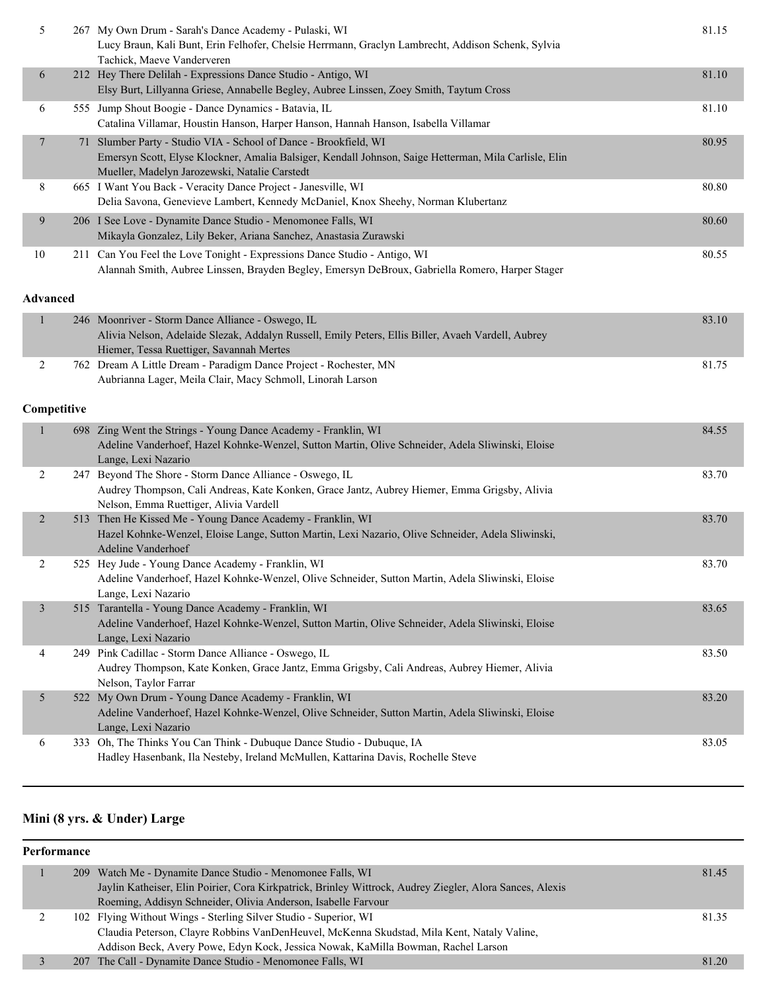| 5               | 267 My Own Drum - Sarah's Dance Academy - Pulaski, WI<br>Lucy Braun, Kali Bunt, Erin Felhofer, Chelsie Herrmann, Graclyn Lambrecht, Addison Schenk, Sylvia<br>Tachick, Maeve Vanderveren                                   | 81.15 |
|-----------------|----------------------------------------------------------------------------------------------------------------------------------------------------------------------------------------------------------------------------|-------|
| 6               | 212 Hey There Delilah - Expressions Dance Studio - Antigo, WI<br>Elsy Burt, Lillyanna Griese, Annabelle Begley, Aubree Linssen, Zoey Smith, Taytum Cross                                                                   | 81.10 |
| 6               | 555 Jump Shout Boogie - Dance Dynamics - Batavia, IL<br>Catalina Villamar, Houstin Hanson, Harper Hanson, Hannah Hanson, Isabella Villamar                                                                                 | 81.10 |
| $\overline{7}$  | 71 Slumber Party - Studio VIA - School of Dance - Brookfield, WI<br>Emersyn Scott, Elyse Klockner, Amalia Balsiger, Kendall Johnson, Saige Hetterman, Mila Carlisle, Elin<br>Mueller, Madelyn Jarozewski, Natalie Carstedt | 80.95 |
| 8               | 665 I Want You Back - Veracity Dance Project - Janesville, WI<br>Delia Savona, Genevieve Lambert, Kennedy McDaniel, Knox Sheehy, Norman Klubertanz                                                                         | 80.80 |
| 9               | 206 I See Love - Dynamite Dance Studio - Menomonee Falls, WI<br>Mikayla Gonzalez, Lily Beker, Ariana Sanchez, Anastasia Zurawski                                                                                           | 80.60 |
| 10              | 211 Can You Feel the Love Tonight - Expressions Dance Studio - Antigo, WI<br>Alannah Smith, Aubree Linssen, Brayden Begley, Emersyn DeBroux, Gabriella Romero, Harper Stager                                               | 80.55 |
| <b>Advanced</b> |                                                                                                                                                                                                                            |       |
| $\mathbf{1}$    | 246 Moonriver - Storm Dance Alliance - Oswego, IL<br>Alivia Nelson, Adelaide Slezak, Addalyn Russell, Emily Peters, Ellis Biller, Avaeh Vardell, Aubrey<br>Hiemer, Tessa Ruettiger, Savannah Mertes                        | 83.10 |
| 2               | 762 Dream A Little Dream - Paradigm Dance Project - Rochester, MN<br>Aubrianna Lager, Meila Clair, Macy Schmoll, Linorah Larson                                                                                            | 81.75 |
| Competitive     |                                                                                                                                                                                                                            |       |
| 1               | 698 Zing Went the Strings - Young Dance Academy - Franklin, WI<br>Adeline Vanderhoef, Hazel Kohnke-Wenzel, Sutton Martin, Olive Schneider, Adela Sliwinski, Eloise<br>Lange, Lexi Nazario                                  | 84.55 |
| 2               | 247 Beyond The Shore - Storm Dance Alliance - Oswego, IL<br>Audrey Thompson, Cali Andreas, Kate Konken, Grace Jantz, Aubrey Hiemer, Emma Grigsby, Alivia<br>Nelson, Emma Ruettiger, Alivia Vardell                         | 83.70 |
| $\overline{2}$  | 513 Then He Kissed Me - Young Dance Academy - Franklin, WI<br>Hazel Kohnke-Wenzel, Eloise Lange, Sutton Martin, Lexi Nazario, Olive Schneider, Adela Sliwinski,<br>Adeline Vanderhoef                                      | 83.70 |
| 2               | 525 Hey Jude - Young Dance Academy - Franklin, WI<br>Adeline Vanderhoef, Hazel Kohnke-Wenzel, Olive Schneider, Sutton Martin, Adela Sliwinski, Eloise<br>Lange, Lexi Nazario                                               | 83.70 |
| $\mathfrak{Z}$  | 515 Tarantella - Young Dance Academy - Franklin, WI<br>Adeline Vanderhoef, Hazel Kohnke-Wenzel, Sutton Martin, Olive Schneider, Adela Sliwinski, Eloise<br>Lange, Lexi Nazario                                             | 83.65 |
| 4               | 249 Pink Cadillac - Storm Dance Alliance - Oswego, IL<br>Audrey Thompson, Kate Konken, Grace Jantz, Emma Grigsby, Cali Andreas, Aubrey Hiemer, Alivia<br>Nelson, Taylor Farrar                                             | 83.50 |
| 5               | 522 My Own Drum - Young Dance Academy - Franklin, WI<br>Adeline Vanderhoef, Hazel Kohnke-Wenzel, Olive Schneider, Sutton Martin, Adela Sliwinski, Eloise<br>Lange, Lexi Nazario                                            | 83.20 |
| 6               | 333 Oh, The Thinks You Can Think - Dubuque Dance Studio - Dubuque, IA<br>Hadley Hasenbank, Ila Nesteby, Ireland McMullen, Kattarina Davis, Rochelle Steve                                                                  | 83.05 |

#### **Mini (8 yrs. & Under) Large**

#### **Performance**

|  | 209 Watch Me - Dynamite Dance Studio - Menomonee Falls, WI                                               | 81.45 |
|--|----------------------------------------------------------------------------------------------------------|-------|
|  | Jaylin Katheiser, Elin Poirier, Cora Kirkpatrick, Brinley Wittrock, Audrey Ziegler, Alora Sances, Alexis |       |
|  | Roeming, Addisyn Schneider, Olivia Anderson, Isabelle Farvour                                            |       |
|  | 102 Flying Without Wings - Sterling Silver Studio - Superior, WI                                         | 81.35 |
|  | Claudia Peterson, Clayre Robbins VanDenHeuvel, McKenna Skudstad, Mila Kent, Nataly Valine,               |       |
|  | Addison Beck, Avery Powe, Edyn Kock, Jessica Nowak, KaMilla Bowman, Rachel Larson                        |       |
|  | 207 The Call - Dynamite Dance Studio - Menomonee Falls, WI                                               | 81.20 |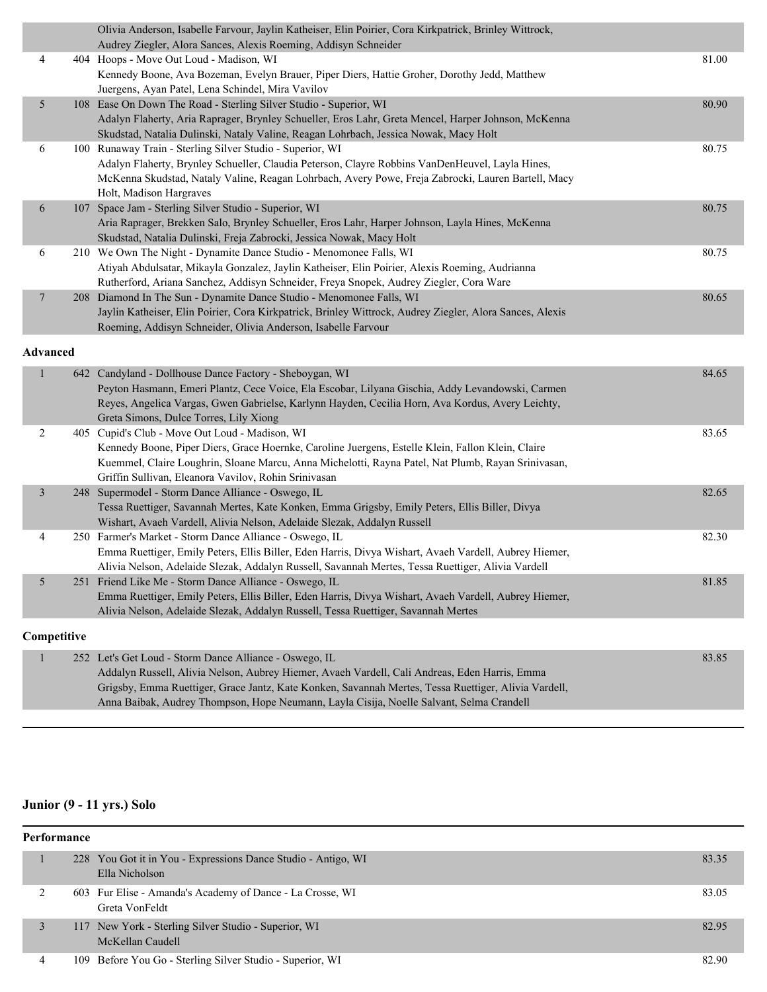|                         |                 | Olivia Anderson, Isabelle Farvour, Jaylin Katheiser, Elin Poirier, Cora Kirkpatrick, Brinley Wittrock,<br>Audrey Ziegler, Alora Sances, Alexis Roeming, Addisyn Schneider |       |  |  |
|-------------------------|-----------------|---------------------------------------------------------------------------------------------------------------------------------------------------------------------------|-------|--|--|
| 4                       |                 | 404 Hoops - Move Out Loud - Madison, WI<br>Kennedy Boone, Ava Bozeman, Evelyn Brauer, Piper Diers, Hattie Groher, Dorothy Jedd, Matthew                                   | 81.00 |  |  |
|                         |                 | Juergens, Ayan Patel, Lena Schindel, Mira Vavilov                                                                                                                         |       |  |  |
| $5\overline{)}$         |                 | 108 Ease On Down The Road - Sterling Silver Studio - Superior, WI                                                                                                         | 80.90 |  |  |
|                         |                 | Adalyn Flaherty, Aria Raprager, Brynley Schueller, Eros Lahr, Greta Mencel, Harper Johnson, McKenna                                                                       |       |  |  |
|                         |                 | Skudstad, Natalia Dulinski, Nataly Valine, Reagan Lohrbach, Jessica Nowak, Macy Holt                                                                                      |       |  |  |
| 6                       |                 | 100 Runaway Train - Sterling Silver Studio - Superior, WI                                                                                                                 | 80.75 |  |  |
|                         |                 | Adalyn Flaherty, Brynley Schueller, Claudia Peterson, Clayre Robbins VanDenHeuvel, Layla Hines,                                                                           |       |  |  |
|                         |                 | McKenna Skudstad, Nataly Valine, Reagan Lohrbach, Avery Powe, Freja Zabrocki, Lauren Bartell, Macy<br>Holt, Madison Hargraves                                             |       |  |  |
| 6                       |                 | 107 Space Jam - Sterling Silver Studio - Superior, WI                                                                                                                     | 80.75 |  |  |
|                         |                 | Aria Raprager, Brekken Salo, Brynley Schueller, Eros Lahr, Harper Johnson, Layla Hines, McKenna                                                                           |       |  |  |
|                         |                 | Skudstad, Natalia Dulinski, Freja Zabrocki, Jessica Nowak, Macy Holt                                                                                                      |       |  |  |
| 6                       |                 | 210 We Own The Night - Dynamite Dance Studio - Menomonee Falls, WI                                                                                                        | 80.75 |  |  |
|                         |                 | Atiyah Abdulsatar, Mikayla Gonzalez, Jaylin Katheiser, Elin Poirier, Alexis Roeming, Audrianna                                                                            |       |  |  |
|                         |                 | Rutherford, Ariana Sanchez, Addisyn Schneider, Freya Snopek, Audrey Ziegler, Cora Ware                                                                                    |       |  |  |
| $7\phantom{.}$          |                 | 208 Diamond In The Sun - Dynamite Dance Studio - Menomonee Falls, WI                                                                                                      | 80.65 |  |  |
|                         |                 | Jaylin Katheiser, Elin Poirier, Cora Kirkpatrick, Brinley Wittrock, Audrey Ziegler, Alora Sances, Alexis                                                                  |       |  |  |
|                         |                 | Roeming, Addisyn Schneider, Olivia Anderson, Isabelle Farvour                                                                                                             |       |  |  |
|                         | <b>Advanced</b> |                                                                                                                                                                           |       |  |  |
| 1                       |                 | 642 Candyland - Dollhouse Dance Factory - Sheboygan, WI                                                                                                                   | 84.65 |  |  |
|                         |                 | Peyton Hasmann, Emeri Plantz, Cece Voice, Ela Escobar, Lilyana Gischia, Addy Levandowski, Carmen                                                                          |       |  |  |
|                         |                 | Reyes, Angelica Vargas, Gwen Gabrielse, Karlynn Hayden, Cecilia Horn, Ava Kordus, Avery Leichty,                                                                          |       |  |  |
|                         |                 | Greta Simons, Dulce Torres, Lily Xiong                                                                                                                                    |       |  |  |
| $\overline{2}$          |                 | 405 Cupid's Club - Move Out Loud - Madison, WI                                                                                                                            | 83.65 |  |  |
|                         |                 | Kennedy Boone, Piper Diers, Grace Hoernke, Caroline Juergens, Estelle Klein, Fallon Klein, Claire                                                                         |       |  |  |
|                         |                 | Kuemmel, Claire Loughrin, Sloane Marcu, Anna Michelotti, Rayna Patel, Nat Plumb, Rayan Srinivasan,                                                                        |       |  |  |
|                         |                 | Griffin Sullivan, Eleanora Vavilov, Rohin Srinivasan                                                                                                                      |       |  |  |
| $\overline{\mathbf{3}}$ |                 | 248 Supermodel - Storm Dance Alliance - Oswego, IL                                                                                                                        | 82.65 |  |  |
|                         |                 | Tessa Ruettiger, Savannah Mertes, Kate Konken, Emma Grigsby, Emily Peters, Ellis Biller, Divya<br>Wishart, Avaeh Vardell, Alivia Nelson, Adelaide Slezak, Addalyn Russell |       |  |  |
| 4                       |                 | 250 Farmer's Market - Storm Dance Alliance - Oswego, IL                                                                                                                   | 82.30 |  |  |
|                         |                 | Emma Ruettiger, Emily Peters, Ellis Biller, Eden Harris, Divya Wishart, Avaeh Vardell, Aubrey Hiemer,                                                                     |       |  |  |
|                         |                 | Alivia Nelson, Adelaide Slezak, Addalyn Russell, Savannah Mertes, Tessa Ruettiger, Alivia Vardell                                                                         |       |  |  |
| 5                       |                 | 251 Friend Like Me - Storm Dance Alliance - Oswego, IL                                                                                                                    | 81.85 |  |  |
|                         |                 | Emma Ruettiger, Emily Peters, Ellis Biller, Eden Harris, Divya Wishart, Avaeh Vardell, Aubrey Hiemer,                                                                     |       |  |  |
|                         |                 | Alivia Nelson, Adelaide Slezak, Addalyn Russell, Tessa Ruettiger, Savannah Mertes                                                                                         |       |  |  |
| Competitive             |                 |                                                                                                                                                                           |       |  |  |
| 1                       |                 | 252 Let's Get Loud - Storm Dance Alliance - Oswego, IL                                                                                                                    | 83.85 |  |  |
|                         |                 | Addalyn Russell, Alivia Nelson, Aubrey Hiemer, Avaeh Vardell, Cali Andreas, Eden Harris, Emma                                                                             |       |  |  |
|                         |                 | Grigsby, Emma Ruettiger, Grace Jantz, Kate Konken, Savannah Mertes, Tessa Ruettiger, Alivia Vardell,                                                                      |       |  |  |
|                         |                 | Anna Baibak, Audrey Thompson, Hope Neumann, Layla Cisija, Noelle Salvant, Selma Crandell                                                                                  |       |  |  |
|                         |                 |                                                                                                                                                                           |       |  |  |

#### **Junior (9 - 11 yrs.) Solo**

| Performance |  |                                                                                 |       |  |
|-------------|--|---------------------------------------------------------------------------------|-------|--|
|             |  | 228 You Got it in You - Expressions Dance Studio - Antigo, WI<br>Ella Nicholson | 83.35 |  |
|             |  | 603 Fur Elise - Amanda's Academy of Dance - La Crosse, WI<br>Greta VonFeldt     | 83.05 |  |
|             |  | 117 New York - Sterling Silver Studio - Superior, WI<br>McKellan Caudell        | 82.95 |  |
| 4           |  | 109 Before You Go - Sterling Silver Studio - Superior, WI                       | 82.90 |  |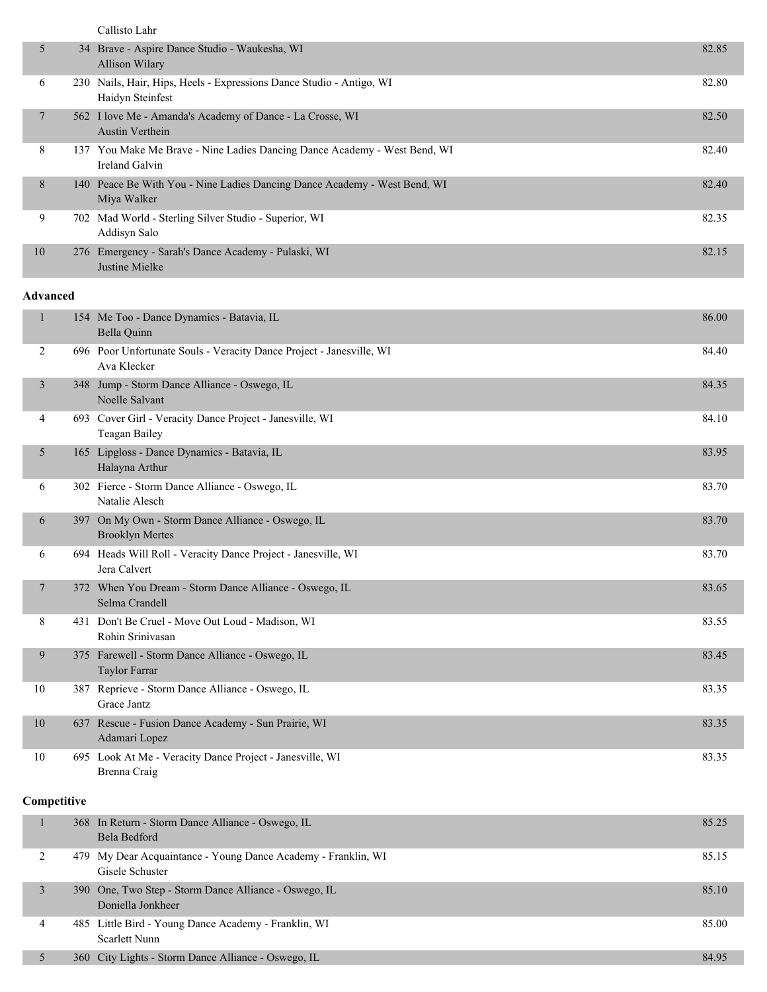Callisto Lahr

| 5              | 34  | Brave - Aspire Dance Studio - Waukesha, WI<br>Allison Wilary                             | 82.85 |
|----------------|-----|------------------------------------------------------------------------------------------|-------|
| 6              |     | 230 Nails, Hair, Hips, Heels - Expressions Dance Studio - Antigo, WI<br>Haidyn Steinfest | 82.80 |
| $\overline{7}$ |     | 562 I love Me - Amanda's Academy of Dance - La Crosse, WI<br><b>Austin Verthein</b>      | 82.50 |
| 8              | 137 | You Make Me Brave - Nine Ladies Dancing Dance Academy - West Bend, WI<br>Ireland Galvin  | 82.40 |
| 8              |     | 140 Peace Be With You - Nine Ladies Dancing Dance Academy - West Bend, WI<br>Miya Walker | 82.40 |
| 9              |     | 702 Mad World - Sterling Silver Studio - Superior, WI<br>Addisyn Salo                    | 82.35 |
| 10             |     | 276 Emergency - Sarah's Dance Academy - Pulaski, WI<br>Justine Mielke                    | 82.15 |

#### **Advanced**

| $\mathbf{1}$ | 154 Me Too - Dance Dynamics - Batavia, IL<br>Bella Quinn                            | 86.00 |
|--------------|-------------------------------------------------------------------------------------|-------|
| 2            | 696 Poor Unfortunate Souls - Veracity Dance Project - Janesville, WI<br>Ava Klecker | 84.40 |
| 3            | 348 Jump - Storm Dance Alliance - Oswego, IL<br>Noelle Salvant                      | 84.35 |
| 4            | 693 Cover Girl - Veracity Dance Project - Janesville, WI<br>Teagan Bailey           | 84.10 |
| 5            | 165 Lipgloss - Dance Dynamics - Batavia, IL<br>Halayna Arthur                       | 83.95 |
| 6            | 302 Fierce - Storm Dance Alliance - Oswego, IL<br>Natalie Alesch                    | 83.70 |
| 6            | 397 On My Own - Storm Dance Alliance - Oswego, IL<br><b>Brooklyn Mertes</b>         | 83.70 |
| 6            | 694 Heads Will Roll - Veracity Dance Project - Janesville, WI<br>Jera Calvert       | 83.70 |
| 7            | 372 When You Dream - Storm Dance Alliance - Oswego, IL<br>Selma Crandell            | 83.65 |
| 8            | 431 Don't Be Cruel - Move Out Loud - Madison, WI<br>Rohin Srinivasan                | 83.55 |
| 9            | 375 Farewell - Storm Dance Alliance - Oswego, IL<br>Taylor Farrar                   | 83.45 |
| 10           | 387 Reprieve - Storm Dance Alliance - Oswego, IL<br>Grace Jantz                     | 83.35 |
| 10           | 637 Rescue - Fusion Dance Academy - Sun Prairie, WI<br>Adamari Lopez                | 83.35 |
| 10           | 695 Look At Me - Veracity Dance Project - Janesville, WI<br>Brenna Craig            | 83.35 |
| Competitive  |                                                                                     |       |
| 1            | 368 In Return - Storm Dance Alliance - Oswego, IL<br>Bela Bedford                   | 85.25 |

|   | Bela Bedford                                                                     |       |
|---|----------------------------------------------------------------------------------|-------|
|   | 479 My Dear Acquaintance - Young Dance Academy - Franklin, WI<br>Gisele Schuster | 85.15 |
|   | 390 One, Two Step - Storm Dance Alliance - Oswego, IL<br>Doniella Jonkheer       | 85.10 |
| 4 | 485 Little Bird - Young Dance Academy - Franklin, WI<br>Scarlett Nunn            | 85.00 |
|   | 360 City Lights - Storm Dance Alliance - Oswego, IL                              | 84.95 |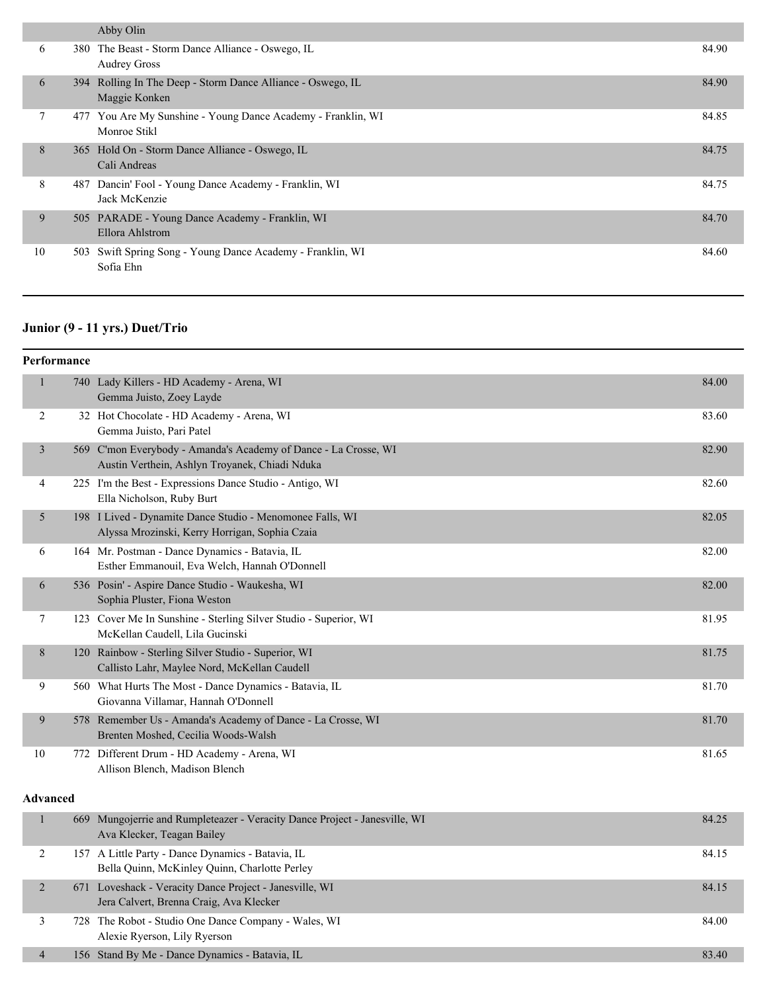|    |     | Abby Olin                                                                    |       |
|----|-----|------------------------------------------------------------------------------|-------|
| 6  |     | 380 The Beast - Storm Dance Alliance - Oswego, IL<br><b>Audrey Gross</b>     | 84.90 |
| 6  |     | 394 Rolling In The Deep - Storm Dance Alliance - Oswego, IL<br>Maggie Konken | 84.90 |
| 7  |     | 477 You Are My Sunshine - Young Dance Academy - Franklin, WI<br>Monroe Stikl | 84.85 |
| 8  |     | 365 Hold On - Storm Dance Alliance - Oswego, IL<br>Cali Andreas              | 84.75 |
| 8  | 487 | Dancin' Fool - Young Dance Academy - Franklin, WI<br>Jack McKenzie           | 84.75 |
| 9  |     | 505 PARADE - Young Dance Academy - Franklin, WI<br>Ellora Ahlstrom           | 84.70 |
| 10 | 503 | Swift Spring Song - Young Dance Academy - Franklin, WI<br>Sofia Ehn          | 84.60 |

# **Junior (9 - 11 yrs.) Duet/Trio**

|                 | Performance |                                                                                                                   |       |
|-----------------|-------------|-------------------------------------------------------------------------------------------------------------------|-------|
| $\mathbf{1}$    |             | 740 Lady Killers - HD Academy - Arena, WI<br>Gemma Juisto, Zoey Layde                                             | 84.00 |
| $\overline{2}$  |             | 32 Hot Chocolate - HD Academy - Arena, WI<br>Gemma Juisto, Pari Patel                                             | 83.60 |
| 3               |             | 569 C'mon Everybody - Amanda's Academy of Dance - La Crosse, WI<br>Austin Verthein, Ashlyn Troyanek, Chiadi Nduka | 82.90 |
| 4               |             | 225 I'm the Best - Expressions Dance Studio - Antigo, WI<br>Ella Nicholson, Ruby Burt                             | 82.60 |
| 5               |             | 198 I Lived - Dynamite Dance Studio - Menomonee Falls, WI<br>Alyssa Mrozinski, Kerry Horrigan, Sophia Czaia       | 82.05 |
| 6               |             | 164 Mr. Postman - Dance Dynamics - Batavia, IL<br>Esther Emmanouil, Eva Welch, Hannah O'Donnell                   | 82.00 |
| 6               |             | 536 Posin' - Aspire Dance Studio - Waukesha, WI<br>Sophia Pluster, Fiona Weston                                   | 82.00 |
| $\tau$          |             | 123 Cover Me In Sunshine - Sterling Silver Studio - Superior, WI<br>McKellan Caudell, Lila Gucinski               | 81.95 |
| 8               |             | 120 Rainbow - Sterling Silver Studio - Superior, WI<br>Callisto Lahr, Maylee Nord, McKellan Caudell               | 81.75 |
| 9               |             | 560 What Hurts The Most - Dance Dynamics - Batavia, IL<br>Giovanna Villamar, Hannah O'Donnell                     | 81.70 |
| 9               |             | 578 Remember Us - Amanda's Academy of Dance - La Crosse, WI<br>Brenten Moshed, Cecilia Woods-Walsh                | 81.70 |
| 10              |             | 772 Different Drum - HD Academy - Arena, WI<br>Allison Blench, Madison Blench                                     | 81.65 |
| <b>Advanced</b> |             |                                                                                                                   |       |
| $\,1$           |             | 669 Mungojerrie and Rumpleteazer - Veracity Dance Project - Janesville, WI<br>Ava Klecker, Teagan Bailey          | 84.25 |
| $\overline{c}$  |             | 157 A Little Party - Dance Dynamics - Batavia, IL<br>Bella Quinn, McKinley Quinn, Charlotte Perley                | 84.15 |
| $\overline{2}$  |             | 671 Loveshack - Veracity Dance Project - Janesville, WI<br>Jera Calvert, Brenna Craig, Ava Klecker                | 84.15 |
| 3               |             | 728 The Robot - Studio One Dance Company - Wales, WI<br>Alexie Ryerson, Lily Ryerson                              | 84.00 |
| $\overline{4}$  |             | 156 Stand By Me - Dance Dynamics - Batavia, IL                                                                    | 83.40 |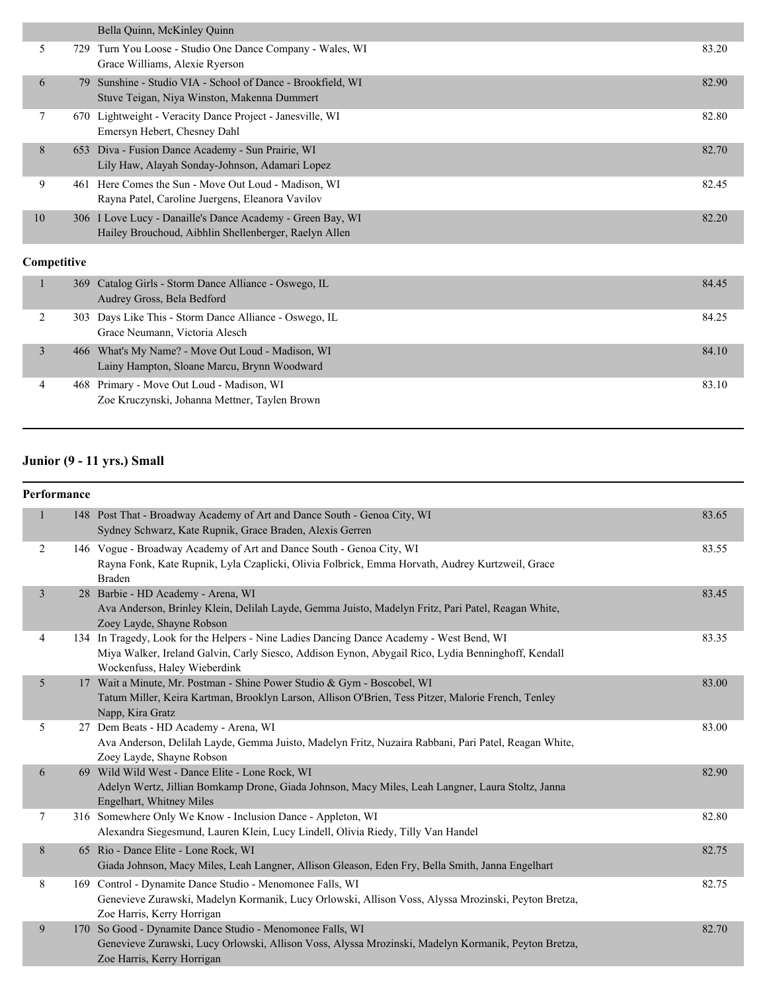|             |     | Bella Quinn, McKinley Quinn                                                                                         |       |
|-------------|-----|---------------------------------------------------------------------------------------------------------------------|-------|
| 5           | 729 | Turn You Loose - Studio One Dance Company - Wales, WI<br>Grace Williams, Alexie Ryerson                             | 83.20 |
| 6           | 79  | Sunshine - Studio VIA - School of Dance - Brookfield, WI<br>Stuve Teigan, Niya Winston, Makenna Dummert             | 82.90 |
| 7           |     | 670 Lightweight - Veracity Dance Project - Janesville, WI<br>Emersyn Hebert, Chesney Dahl                           | 82.80 |
| 8           | 653 | Diva - Fusion Dance Academy - Sun Prairie, WI<br>Lily Haw, Alayah Sonday-Johnson, Adamari Lopez                     | 82.70 |
| 9           |     | 461 Here Comes the Sun - Move Out Loud - Madison, WI<br>Rayna Patel, Caroline Juergens, Eleanora Vavilov            | 82.45 |
| 10          |     | 306 I Love Lucy - Danaille's Dance Academy - Green Bay, WI<br>Hailey Brouchoud, Aibhlin Shellenberger, Raelyn Allen | 82.20 |
| Competitive |     |                                                                                                                     |       |
| Ш.          | 369 | Catalog Girls - Storm Dance Alliance - Oswego, IL<br>Audrey Gross, Bela Bedford                                     | 84.45 |

|  | Audrey Gross, Bela Bedford                                                                       |       |
|--|--------------------------------------------------------------------------------------------------|-------|
|  | 303 Days Like This - Storm Dance Alliance - Oswego, IL<br>Grace Neumann, Victoria Alesch         | 84.25 |
|  | 466 What's My Name? - Move Out Loud - Madison, WI<br>Lainy Hampton, Sloane Marcu, Brynn Woodward | 84.10 |
|  | 468 Primary - Move Out Loud - Madison, WI<br>Zoe Kruczynski, Johanna Mettner, Taylen Brown       | 83.10 |

## **Junior (9 - 11 yrs.) Small**

|                | Performance |                                                                                                                                                                                                                                |       |
|----------------|-------------|--------------------------------------------------------------------------------------------------------------------------------------------------------------------------------------------------------------------------------|-------|
| $\mathbf{1}$   |             | 148 Post That - Broadway Academy of Art and Dance South - Genoa City, WI<br>Sydney Schwarz, Kate Rupnik, Grace Braden, Alexis Gerren                                                                                           | 83.65 |
| $\overline{2}$ |             | 146 Vogue - Broadway Academy of Art and Dance South - Genoa City, WI<br>Rayna Fonk, Kate Rupnik, Lyla Czaplicki, Olivia Folbrick, Emma Horvath, Audrey Kurtzweil, Grace<br><b>Braden</b>                                       | 83.55 |
| $\overline{3}$ |             | 28 Barbie - HD Academy - Arena, WI<br>Ava Anderson, Brinley Klein, Delilah Layde, Gemma Juisto, Madelyn Fritz, Pari Patel, Reagan White,<br>Zoey Layde, Shayne Robson                                                          | 83.45 |
| $\overline{4}$ |             | 134 In Tragedy, Look for the Helpers - Nine Ladies Dancing Dance Academy - West Bend, WI<br>Miya Walker, Ireland Galvin, Carly Siesco, Addison Eynon, Abygail Rico, Lydia Benninghoff, Kendall<br>Wockenfuss, Haley Wieberdink | 83.35 |
| $\sqrt{5}$     |             | 17 Wait a Minute, Mr. Postman - Shine Power Studio & Gym - Boscobel, WI<br>Tatum Miller, Keira Kartman, Brooklyn Larson, Allison O'Brien, Tess Pitzer, Malorie French, Tenley<br>Napp, Kira Gratz                              | 83.00 |
| 5              |             | 27 Dem Beats - HD Academy - Arena, WI<br>Ava Anderson, Delilah Layde, Gemma Juisto, Madelyn Fritz, Nuzaira Rabbani, Pari Patel, Reagan White,<br>Zoey Layde, Shayne Robson                                                     | 83.00 |
| $\sqrt{6}$     |             | 69 Wild Wild West - Dance Elite - Lone Rock, WI<br>Adelyn Wertz, Jillian Bomkamp Drone, Giada Johnson, Macy Miles, Leah Langner, Laura Stoltz, Janna<br>Engelhart, Whitney Miles                                               | 82.90 |
| $\tau$         |             | 316 Somewhere Only We Know - Inclusion Dance - Appleton, WI<br>Alexandra Siegesmund, Lauren Klein, Lucy Lindell, Olivia Riedy, Tilly Van Handel                                                                                | 82.80 |
| $\,8\,$        |             | 65 Rio - Dance Elite - Lone Rock, WI<br>Giada Johnson, Macy Miles, Leah Langner, Allison Gleason, Eden Fry, Bella Smith, Janna Engelhart                                                                                       | 82.75 |
| 8              |             | 169 Control - Dynamite Dance Studio - Menomonee Falls, WI<br>Genevieve Zurawski, Madelyn Kormanik, Lucy Orlowski, Allison Voss, Alyssa Mrozinski, Peyton Bretza,<br>Zoe Harris, Kerry Horrigan                                 | 82.75 |
| 9              |             | 170 So Good - Dynamite Dance Studio - Menomonee Falls, WI<br>Genevieve Zurawski, Lucy Orlowski, Allison Voss, Alyssa Mrozinski, Madelyn Kormanik, Peyton Bretza,<br>Zoe Harris, Kerry Horrigan                                 | 82.70 |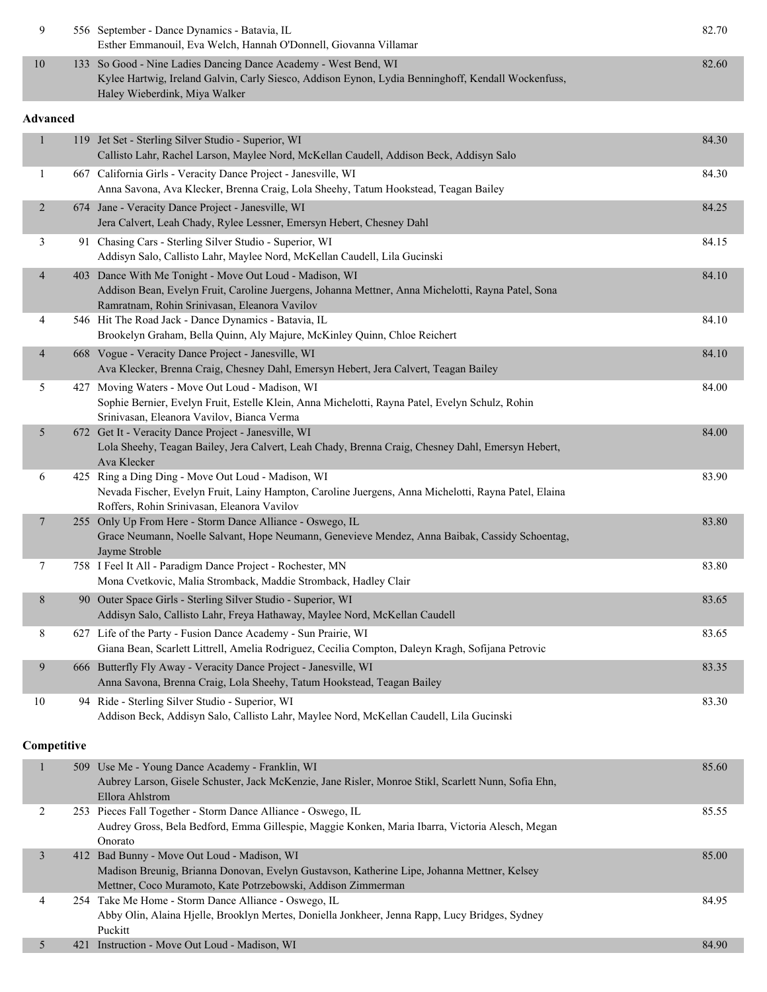| 9               |     | 556 September - Dance Dynamics - Batavia, IL<br>Esther Emmanouil, Eva Welch, Hannah O'Donnell, Giovanna Villamar                                                                                               | 82.70 |
|-----------------|-----|----------------------------------------------------------------------------------------------------------------------------------------------------------------------------------------------------------------|-------|
| $10\,$          |     | 133 So Good - Nine Ladies Dancing Dance Academy - West Bend, WI<br>Kylee Hartwig, Ireland Galvin, Carly Siesco, Addison Eynon, Lydia Benninghoff, Kendall Wockenfuss,<br>Haley Wieberdink, Miya Walker         | 82.60 |
| <b>Advanced</b> |     |                                                                                                                                                                                                                |       |
| $\mathbf{1}$    |     | 119 Jet Set - Sterling Silver Studio - Superior, WI<br>Callisto Lahr, Rachel Larson, Maylee Nord, McKellan Caudell, Addison Beck, Addisyn Salo                                                                 | 84.30 |
| 1               |     | 667 California Girls - Veracity Dance Project - Janesville, WI<br>Anna Savona, Ava Klecker, Brenna Craig, Lola Sheehy, Tatum Hookstead, Teagan Bailey                                                          | 84.30 |
| $\overline{2}$  |     | 674 Jane - Veracity Dance Project - Janesville, WI<br>Jera Calvert, Leah Chady, Rylee Lessner, Emersyn Hebert, Chesney Dahl                                                                                    | 84.25 |
| 3               |     | 91 Chasing Cars - Sterling Silver Studio - Superior, WI<br>Addisyn Salo, Callisto Lahr, Maylee Nord, McKellan Caudell, Lila Gucinski                                                                           | 84.15 |
| $\overline{4}$  |     | 403 Dance With Me Tonight - Move Out Loud - Madison, WI<br>Addison Bean, Evelyn Fruit, Caroline Juergens, Johanna Mettner, Anna Michelotti, Rayna Patel, Sona<br>Ramratnam, Rohin Srinivasan, Eleanora Vavilov | 84.10 |
| 4               |     | 546 Hit The Road Jack - Dance Dynamics - Batavia, IL<br>Brookelyn Graham, Bella Quinn, Aly Majure, McKinley Quinn, Chloe Reichert                                                                              | 84.10 |
| $\overline{4}$  |     | 668 Vogue - Veracity Dance Project - Janesville, WI<br>Ava Klecker, Brenna Craig, Chesney Dahl, Emersyn Hebert, Jera Calvert, Teagan Bailey                                                                    | 84.10 |
| 5               |     | 427 Moving Waters - Move Out Loud - Madison, WI<br>Sophie Bernier, Evelyn Fruit, Estelle Klein, Anna Michelotti, Rayna Patel, Evelyn Schulz, Rohin<br>Srinivasan, Eleanora Vavilov, Bianca Verma               | 84.00 |
| 5               |     | 672 Get It - Veracity Dance Project - Janesville, WI<br>Lola Sheehy, Teagan Bailey, Jera Calvert, Leah Chady, Brenna Craig, Chesney Dahl, Emersyn Hebert,<br>Ava Klecker                                       | 84.00 |
| 6               |     | 425 Ring a Ding Ding - Move Out Loud - Madison, WI<br>Nevada Fischer, Evelyn Fruit, Lainy Hampton, Caroline Juergens, Anna Michelotti, Rayna Patel, Elaina<br>Roffers, Rohin Srinivasan, Eleanora Vavilov      | 83.90 |
| $\tau$          |     | 255 Only Up From Here - Storm Dance Alliance - Oswego, IL<br>Grace Neumann, Noelle Salvant, Hope Neumann, Genevieve Mendez, Anna Baibak, Cassidy Schoentag,<br>Jayme Stroble                                   | 83.80 |
| 7               |     | 758 I Feel It All - Paradigm Dance Project - Rochester, MN<br>Mona Cvetkovic, Malia Stromback, Maddie Stromback, Hadley Clair                                                                                  | 83.80 |
| $8\,$           |     | 90 Outer Space Girls - Sterling Silver Studio - Superior, WI<br>Addisyn Salo, Callisto Lahr, Freya Hathaway, Maylee Nord, McKellan Caudell                                                                     | 83.65 |
| 8               |     | 627 Life of the Party - Fusion Dance Academy - Sun Prairie, WI<br>Giana Bean, Scarlett Littrell, Amelia Rodriguez, Cecilia Compton, Daleyn Kragh, Sofijana Petrovic                                            | 83.65 |
| $\overline{9}$  |     | 666 Butterfly Fly Away - Veracity Dance Project - Janesville, WI<br>Anna Savona, Brenna Craig, Lola Sheehy, Tatum Hookstead, Teagan Bailey                                                                     | 83.35 |
| $10\,$          |     | 94 Ride - Sterling Silver Studio - Superior, WI<br>Addison Beck, Addisyn Salo, Callisto Lahr, Maylee Nord, McKellan Caudell, Lila Gucinski                                                                     | 83.30 |
| Competitive     |     |                                                                                                                                                                                                                |       |
| $\mathbf{1}$    | 509 | Use Me - Young Dance Academy - Franklin, WI<br>Aubrey Larson, Gisele Schuster, Jack McKenzie, Jane Risler, Monroe Stikl, Scarlett Nunn, Sofia Ehn,<br>Ellora Ahlstrom                                          | 85.60 |
| 2               |     | 253 Pieces Fall Together - Storm Dance Alliance - Oswego, IL<br>Audrey Gross, Bela Bedford, Emma Gillespie, Maggie Konken, Maria Ibarra, Victoria Alesch, Megan<br>Onorato                                     | 85.55 |
| 3               |     | 412 Bad Bunny - Move Out Loud - Madison, WI<br>Madison Breunig, Brianna Donovan, Evelyn Gustavson, Katherine Lipe, Johanna Mettner, Kelsey<br>Mettner, Coco Muramoto, Kate Potrzebowski, Addison Zimmerman     | 85.00 |
| 4               |     | 254 Take Me Home - Storm Dance Alliance - Oswego, IL<br>Abby Olin, Alaina Hjelle, Brooklyn Mertes, Doniella Jonkheer, Jenna Rapp, Lucy Bridges, Sydney                                                         | 84.95 |
| 5               |     | Puckitt<br>421 Instruction - Move Out Loud - Madison, WI                                                                                                                                                       | 84.90 |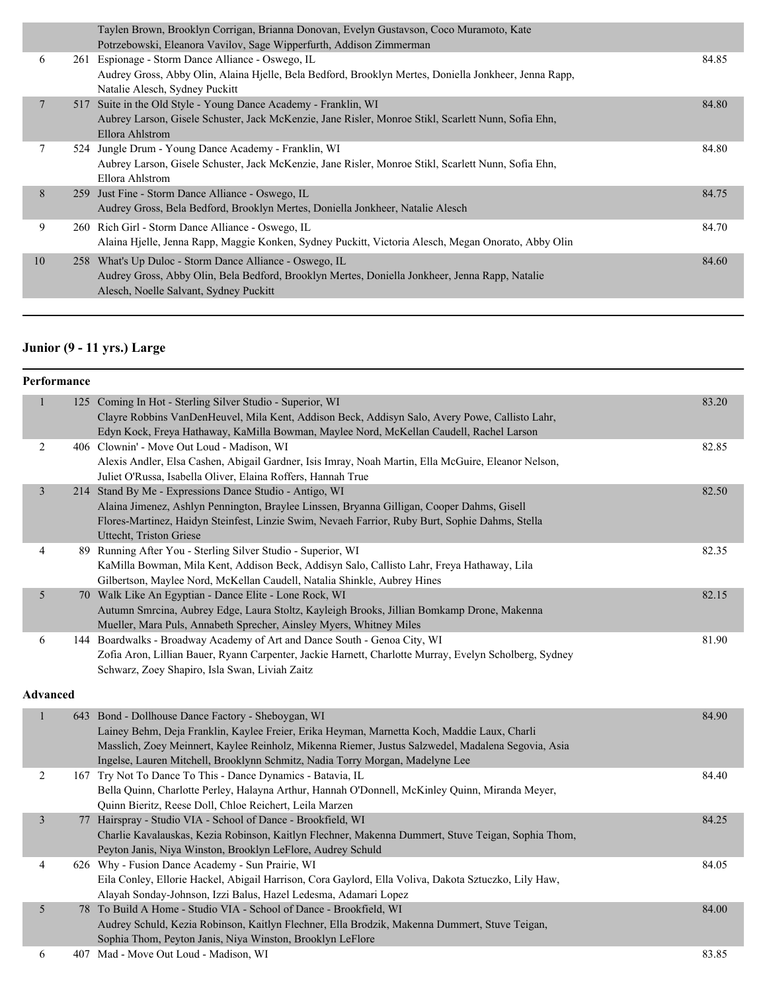|    |     | Taylen Brown, Brooklyn Corrigan, Brianna Donovan, Evelyn Gustavson, Coco Muramoto, Kate<br>Potrzebowski, Eleanora Vavilov, Sage Wipperfurth, Addison Zimmerman                                      |       |
|----|-----|-----------------------------------------------------------------------------------------------------------------------------------------------------------------------------------------------------|-------|
| 6  |     | 261 Espionage - Storm Dance Alliance - Oswego, IL<br>Audrey Gross, Abby Olin, Alaina Hjelle, Bela Bedford, Brooklyn Mertes, Doniella Jonkheer, Jenna Rapp,<br>Natalie Alesch, Sydney Puckitt        | 84.85 |
| 7  | 517 | Suite in the Old Style - Young Dance Academy - Franklin, WI<br>Aubrey Larson, Gisele Schuster, Jack McKenzie, Jane Risler, Monroe Stikl, Scarlett Nunn, Sofia Ehn,<br>Ellora Ahlstrom               | 84.80 |
|    |     | 524 Jungle Drum - Young Dance Academy - Franklin, WI<br>Aubrey Larson, Gisele Schuster, Jack McKenzie, Jane Risler, Monroe Stikl, Scarlett Nunn, Sofia Ehn,<br>Ellora Ahlstrom                      | 84.80 |
| 8  |     | 259 Just Fine - Storm Dance Alliance - Oswego, IL<br>Audrey Gross, Bela Bedford, Brooklyn Mertes, Doniella Jonkheer, Natalie Alesch                                                                 | 84.75 |
| 9  |     | 260 Rich Girl - Storm Dance Alliance - Oswego, IL<br>Alaina Hjelle, Jenna Rapp, Maggie Konken, Sydney Puckitt, Victoria Alesch, Megan Onorato, Abby Olin                                            | 84.70 |
| 10 |     | 258 What's Up Duloc - Storm Dance Alliance - Oswego, IL<br>Audrey Gross, Abby Olin, Bela Bedford, Brooklyn Mertes, Doniella Jonkheer, Jenna Rapp, Natalie<br>Alesch, Noelle Salvant, Sydney Puckitt | 84.60 |
|    |     |                                                                                                                                                                                                     |       |

### **Junior (9 - 11 yrs.) Large**

|                 | Performance |                                                                                                                                                                                                                                                                                                                                          |       |
|-----------------|-------------|------------------------------------------------------------------------------------------------------------------------------------------------------------------------------------------------------------------------------------------------------------------------------------------------------------------------------------------|-------|
| $\mathbf{1}$    |             | 125 Coming In Hot - Sterling Silver Studio - Superior, WI<br>Clayre Robbins VanDenHeuvel, Mila Kent, Addison Beck, Addisyn Salo, Avery Powe, Callisto Lahr,<br>Edyn Kock, Freya Hathaway, KaMilla Bowman, Maylee Nord, McKellan Caudell, Rachel Larson                                                                                   | 83.20 |
| $\overline{2}$  |             | 406 Clownin' - Move Out Loud - Madison, WI<br>Alexis Andler, Elsa Cashen, Abigail Gardner, Isis Imray, Noah Martin, Ella McGuire, Eleanor Nelson,<br>Juliet O'Russa, Isabella Oliver, Elaina Roffers, Hannah True                                                                                                                        | 82.85 |
| $\mathfrak{Z}$  |             | 214 Stand By Me - Expressions Dance Studio - Antigo, WI<br>Alaina Jimenez, Ashlyn Pennington, Braylee Linssen, Bryanna Gilligan, Cooper Dahms, Gisell<br>Flores-Martinez, Haidyn Steinfest, Linzie Swim, Nevaeh Farrior, Ruby Burt, Sophie Dahms, Stella<br>Uttecht, Triston Griese                                                      | 82.50 |
| 4               |             | 89 Running After You - Sterling Silver Studio - Superior, WI<br>KaMilla Bowman, Mila Kent, Addison Beck, Addisyn Salo, Callisto Lahr, Freya Hathaway, Lila<br>Gilbertson, Maylee Nord, McKellan Caudell, Natalia Shinkle, Aubrey Hines                                                                                                   | 82.35 |
| 5               |             | 70 Walk Like An Egyptian - Dance Elite - Lone Rock, WI<br>Autumn Smrcina, Aubrey Edge, Laura Stoltz, Kayleigh Brooks, Jillian Bomkamp Drone, Makenna<br>Mueller, Mara Puls, Annabeth Sprecher, Ainsley Myers, Whitney Miles                                                                                                              | 82.15 |
| 6               |             | 144 Boardwalks - Broadway Academy of Art and Dance South - Genoa City, WI<br>Zofia Aron, Lillian Bauer, Ryann Carpenter, Jackie Harnett, Charlotte Murray, Evelyn Scholberg, Sydney<br>Schwarz, Zoey Shapiro, Isla Swan, Liviah Zaitz                                                                                                    | 81.90 |
| <b>Advanced</b> |             |                                                                                                                                                                                                                                                                                                                                          |       |
| $\,1\,$         |             | 643 Bond - Dollhouse Dance Factory - Sheboygan, WI<br>Lainey Behm, Deja Franklin, Kaylee Freier, Erika Heyman, Marnetta Koch, Maddie Laux, Charli<br>Masslich, Zoey Meinnert, Kaylee Reinholz, Mikenna Riemer, Justus Salzwedel, Madalena Segovia, Asia<br>Ingelse, Lauren Mitchell, Brooklynn Schmitz, Nadia Torry Morgan, Madelyne Lee | 84.90 |
| $\sqrt{2}$      |             | 167 Try Not To Dance To This - Dance Dynamics - Batavia, IL<br>Bella Quinn, Charlotte Perley, Halayna Arthur, Hannah O'Donnell, McKinley Quinn, Miranda Meyer,<br>Quinn Bieritz, Reese Doll, Chloe Reichert, Leila Marzen                                                                                                                | 84.40 |
| $\mathfrak{Z}$  |             | 77 Hairspray - Studio VIA - School of Dance - Brookfield, WI<br>Charlie Kavalauskas, Kezia Robinson, Kaitlyn Flechner, Makenna Dummert, Stuve Teigan, Sophia Thom,<br>Peyton Janis, Niya Winston, Brooklyn LeFlore, Audrey Schuld                                                                                                        | 84.25 |
| $\overline{4}$  |             | 626 Why - Fusion Dance Academy - Sun Prairie, WI<br>Eila Conley, Ellorie Hackel, Abigail Harrison, Cora Gaylord, Ella Voliva, Dakota Sztuczko, Lily Haw,<br>Alayah Sonday-Johnson, Izzi Balus, Hazel Ledesma, Adamari Lopez                                                                                                              | 84.05 |
| 5               |             | 78 To Build A Home - Studio VIA - School of Dance - Brookfield, WI<br>Audrey Schuld, Kezia Robinson, Kaitlyn Flechner, Ella Brodzik, Makenna Dummert, Stuve Teigan,<br>Sophia Thom, Peyton Janis, Niya Winston, Brooklyn LeFlore                                                                                                         | 84.00 |
| 6               |             | 407 Mad - Move Out Loud - Madison, WI                                                                                                                                                                                                                                                                                                    | 83.85 |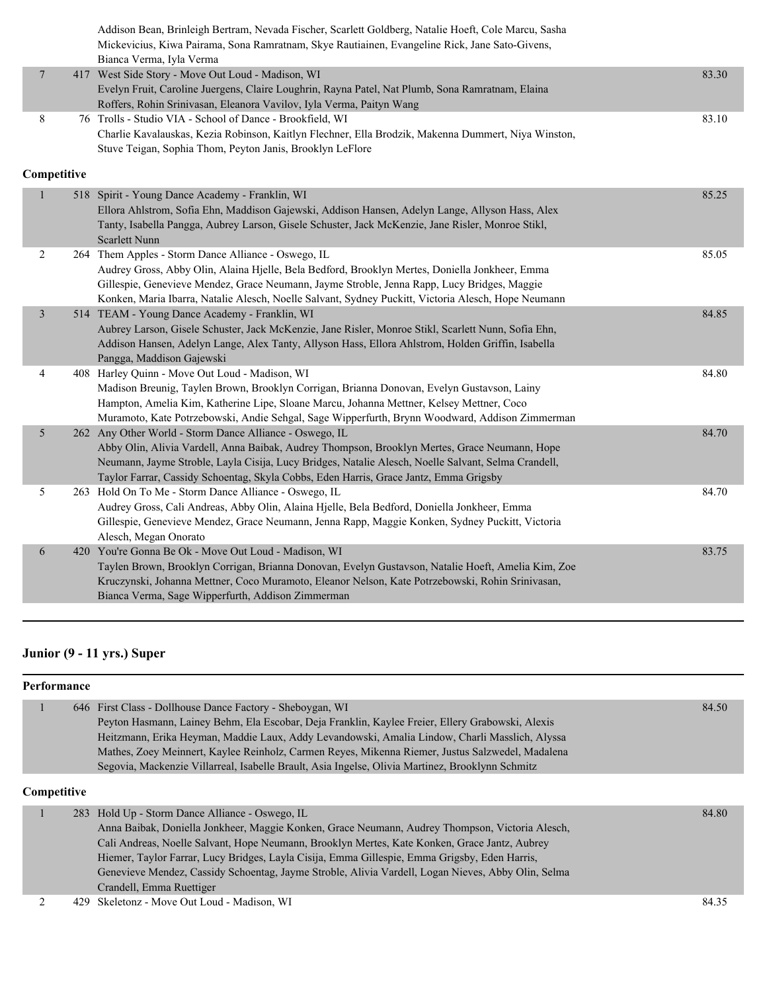|                         | Addison Bean, Brinleigh Bertram, Nevada Fischer, Scarlett Goldberg, Natalie Hoeft, Cole Marcu, Sasha<br>Mickevicius, Kiwa Pairama, Sona Ramratnam, Skye Rautiainen, Evangeline Rick, Jane Sato-Givens,<br>Bianca Verma, Iyla Verma                                                                                                                          |       |
|-------------------------|-------------------------------------------------------------------------------------------------------------------------------------------------------------------------------------------------------------------------------------------------------------------------------------------------------------------------------------------------------------|-------|
| $\overline{7}$          | 417 West Side Story - Move Out Loud - Madison, WI<br>Evelyn Fruit, Caroline Juergens, Claire Loughrin, Rayna Patel, Nat Plumb, Sona Ramratnam, Elaina<br>Roffers, Rohin Srinivasan, Eleanora Vavilov, Iyla Verma, Paityn Wang                                                                                                                               | 83.30 |
| 8                       | 76 Trolls - Studio VIA - School of Dance - Brookfield, WI<br>Charlie Kavalauskas, Kezia Robinson, Kaitlyn Flechner, Ella Brodzik, Makenna Dummert, Niya Winston,<br>Stuve Teigan, Sophia Thom, Peyton Janis, Brooklyn LeFlore                                                                                                                               | 83.10 |
| Competitive             |                                                                                                                                                                                                                                                                                                                                                             |       |
| $\mathbf{1}$            | 518 Spirit - Young Dance Academy - Franklin, WI<br>Ellora Ahlstrom, Sofia Ehn, Maddison Gajewski, Addison Hansen, Adelyn Lange, Allyson Hass, Alex<br>Tanty, Isabella Pangga, Aubrey Larson, Gisele Schuster, Jack McKenzie, Jane Risler, Monroe Stikl,<br>Scarlett Nunn                                                                                    | 85.25 |
| $\overline{c}$          | 264 Them Apples - Storm Dance Alliance - Oswego, IL<br>Audrey Gross, Abby Olin, Alaina Hjelle, Bela Bedford, Brooklyn Mertes, Doniella Jonkheer, Emma<br>Gillespie, Genevieve Mendez, Grace Neumann, Jayme Stroble, Jenna Rapp, Lucy Bridges, Maggie<br>Konken, Maria Ibarra, Natalie Alesch, Noelle Salvant, Sydney Puckitt, Victoria Alesch, Hope Neumann | 85.05 |
| $\overline{\mathbf{3}}$ | 514 TEAM - Young Dance Academy - Franklin, WI<br>Aubrey Larson, Gisele Schuster, Jack McKenzie, Jane Risler, Monroe Stikl, Scarlett Nunn, Sofia Ehn,<br>Addison Hansen, Adelyn Lange, Alex Tanty, Allyson Hass, Ellora Ahlstrom, Holden Griffin, Isabella<br>Pangga, Maddison Gajewski                                                                      | 84.85 |
| 4                       | 408 Harley Quinn - Move Out Loud - Madison, WI<br>Madison Breunig, Taylen Brown, Brooklyn Corrigan, Brianna Donovan, Evelyn Gustavson, Lainy<br>Hampton, Amelia Kim, Katherine Lipe, Sloane Marcu, Johanna Mettner, Kelsey Mettner, Coco<br>Muramoto, Kate Potrzebowski, Andie Sehgal, Sage Wipperfurth, Brynn Woodward, Addison Zimmerman                  | 84.80 |
| 5                       | 262 Any Other World - Storm Dance Alliance - Oswego, IL<br>Abby Olin, Alivia Vardell, Anna Baibak, Audrey Thompson, Brooklyn Mertes, Grace Neumann, Hope<br>Neumann, Jayme Stroble, Layla Cisija, Lucy Bridges, Natalie Alesch, Noelle Salvant, Selma Crandell,<br>Taylor Farrar, Cassidy Schoentag, Skyla Cobbs, Eden Harris, Grace Jantz, Emma Grigsby    | 84.70 |
| 5                       | 263 Hold On To Me - Storm Dance Alliance - Oswego, IL<br>Audrey Gross, Cali Andreas, Abby Olin, Alaina Hjelle, Bela Bedford, Doniella Jonkheer, Emma<br>Gillespie, Genevieve Mendez, Grace Neumann, Jenna Rapp, Maggie Konken, Sydney Puckitt, Victoria<br>Alesch, Megan Onorato                                                                            | 84.70 |
| 6                       | 420 You're Gonna Be Ok - Move Out Loud - Madison, WI<br>Taylen Brown, Brooklyn Corrigan, Brianna Donovan, Evelyn Gustavson, Natalie Hoeft, Amelia Kim, Zoe<br>Kruczynski, Johanna Mettner, Coco Muramoto, Eleanor Nelson, Kate Potrzebowski, Rohin Srinivasan,<br>Bianca Verma, Sage Wipperfurth, Addison Zimmerman                                         | 83.75 |

### **Junior (9 - 11 yrs.) Super**

|                | <b>Performance</b> |                                                                                                    |       |
|----------------|--------------------|----------------------------------------------------------------------------------------------------|-------|
|                |                    | 646 First Class - Dollhouse Dance Factory - Sheboygan, WI                                          | 84.50 |
|                |                    | Peyton Hasmann, Lainey Behm, Ela Escobar, Deja Franklin, Kaylee Freier, Ellery Grabowski, Alexis   |       |
|                |                    | Heitzmann, Erika Heyman, Maddie Laux, Addy Levandowski, Amalia Lindow, Charli Masslich, Alyssa     |       |
|                |                    | Mathes, Zoey Meinnert, Kaylee Reinholz, Carmen Reyes, Mikenna Riemer, Justus Salzwedel, Madalena   |       |
|                |                    | Segovia, Mackenzie Villarreal, Isabelle Brault, Asia Ingelse, Olivia Martinez, Brooklynn Schmitz   |       |
| Competitive    |                    |                                                                                                    |       |
| 1              |                    | 283 Hold Up - Storm Dance Alliance - Oswego, IL                                                    | 84.80 |
|                |                    | Anna Baibak, Doniella Jonkheer, Maggie Konken, Grace Neumann, Audrey Thompson, Victoria Alesch,    |       |
|                |                    | Cali Andreas, Noelle Salvant, Hope Neumann, Brooklyn Mertes, Kate Konken, Grace Jantz, Aubrey      |       |
|                |                    | Hiemer, Taylor Farrar, Lucy Bridges, Layla Cisija, Emma Gillespie, Emma Grigsby, Eden Harris,      |       |
|                |                    | Genevieve Mendez, Cassidy Schoentag, Jayme Stroble, Alivia Vardell, Logan Nieves, Abby Olin, Selma |       |
|                |                    | Crandell, Emma Ruettiger                                                                           |       |
| $\overline{c}$ | 429.               | Skeletonz - Move Out Loud - Madison. WI                                                            | 84.35 |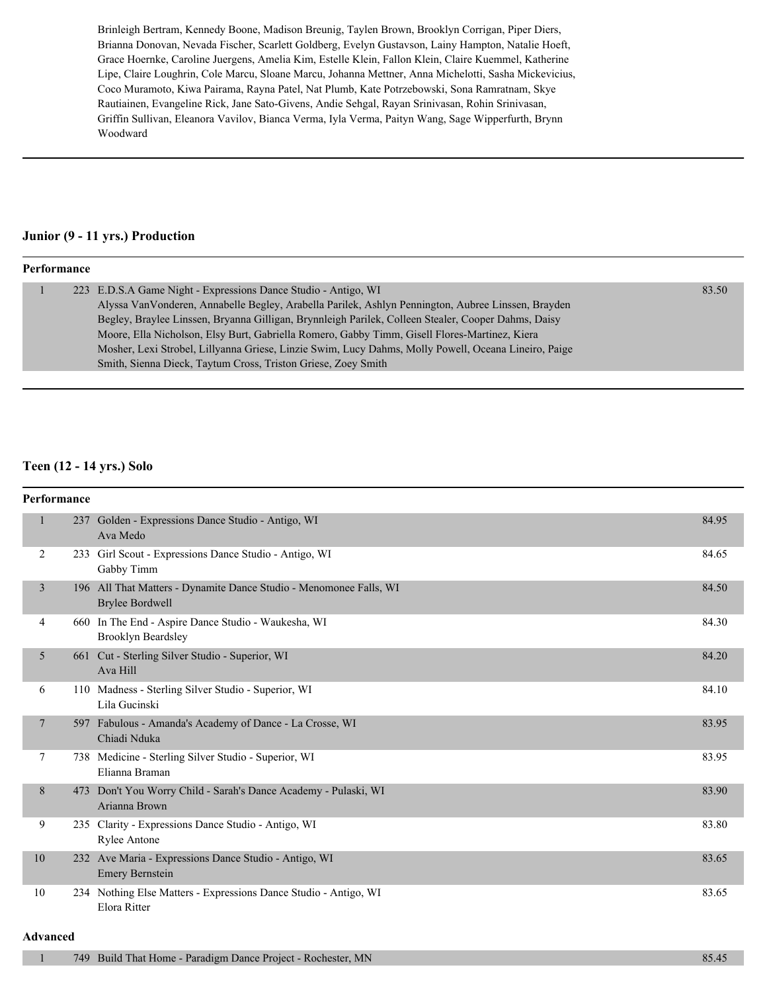Brinleigh Bertram, Kennedy Boone, Madison Breunig, Taylen Brown, Brooklyn Corrigan, Piper Diers, Brianna Donovan, Nevada Fischer, Scarlett Goldberg, Evelyn Gustavson, Lainy Hampton, Natalie Hoeft, Grace Hoernke, Caroline Juergens, Amelia Kim, Estelle Klein, Fallon Klein, Claire Kuemmel, Katherine Lipe, Claire Loughrin, Cole Marcu, Sloane Marcu, Johanna Mettner, Anna Michelotti, Sasha Mickevicius, Coco Muramoto, Kiwa Pairama, Rayna Patel, Nat Plumb, Kate Potrzebowski, Sona Ramratnam, Skye Rautiainen, Evangeline Rick, Jane Sato-Givens, Andie Sehgal, Rayan Srinivasan, Rohin Srinivasan, Griffin Sullivan, Eleanora Vavilov, Bianca Verma, Iyla Verma, Paityn Wang, Sage Wipperfurth, Brynn Woodward

#### **Junior (9 - 11 yrs.) Production**

#### **Performance**

|  | 223 E.D.S.A Game Night - Expressions Dance Studio - Antigo, WI                                       | 83.50 |
|--|------------------------------------------------------------------------------------------------------|-------|
|  | Alyssa Van Vonderen, Annabelle Begley, Arabella Parilek, Ashlyn Pennington, Aubree Linssen, Brayden  |       |
|  | Begley, Braylee Linssen, Bryanna Gilligan, Brynnleigh Parilek, Colleen Stealer, Cooper Dahms, Daisy  |       |
|  | Moore, Ella Nicholson, Elsy Burt, Gabriella Romero, Gabby Timm, Gisell Flores-Martinez, Kiera        |       |
|  | Mosher, Lexi Strobel, Lillyanna Griese, Linzie Swim, Lucy Dahms, Molly Powell, Oceana Lineiro, Paige |       |
|  | Smith, Sienna Dieck, Taytum Cross, Triston Griese, Zoey Smith                                        |       |
|  |                                                                                                      |       |

#### **Teen (12 - 14 yrs.) Solo**

| <b>Performance</b> |                                                                                              |       |
|--------------------|----------------------------------------------------------------------------------------------|-------|
| $\mathbf{1}$       | 237 Golden - Expressions Dance Studio - Antigo, WI<br>Ava Medo                               | 84.95 |
| $\overline{2}$     | 233 Girl Scout - Expressions Dance Studio - Antigo, WI<br>Gabby Timm                         | 84.65 |
| $\overline{3}$     | 196 All That Matters - Dynamite Dance Studio - Menomonee Falls, WI<br><b>Brylee Bordwell</b> | 84.50 |
| 4                  | 660 In The End - Aspire Dance Studio - Waukesha, WI<br><b>Brooklyn Beardsley</b>             | 84.30 |
| 5                  | 661 Cut - Sterling Silver Studio - Superior, WI<br>Ava Hill                                  | 84.20 |
| 6                  | 110 Madness - Sterling Silver Studio - Superior, WI<br>Lila Gucinski                         | 84.10 |
| $\tau$             | 597 Fabulous - Amanda's Academy of Dance - La Crosse, WI<br>Chiadi Nduka                     | 83.95 |
| 7                  | 738 Medicine - Sterling Silver Studio - Superior, WI<br>Elianna Braman                       | 83.95 |
| 8                  | 473 Don't You Worry Child - Sarah's Dance Academy - Pulaski, WI<br>Arianna Brown             | 83.90 |
| 9                  | 235 Clarity - Expressions Dance Studio - Antigo, WI<br><b>Rylee Antone</b>                   | 83.80 |
| 10                 | 232 Ave Maria - Expressions Dance Studio - Antigo, WI<br><b>Emery Bernstein</b>              | 83.65 |
| 10                 | 234 Nothing Else Matters - Expressions Dance Studio - Antigo, WI<br>Elora Ritter             | 83.65 |

#### **Advanced**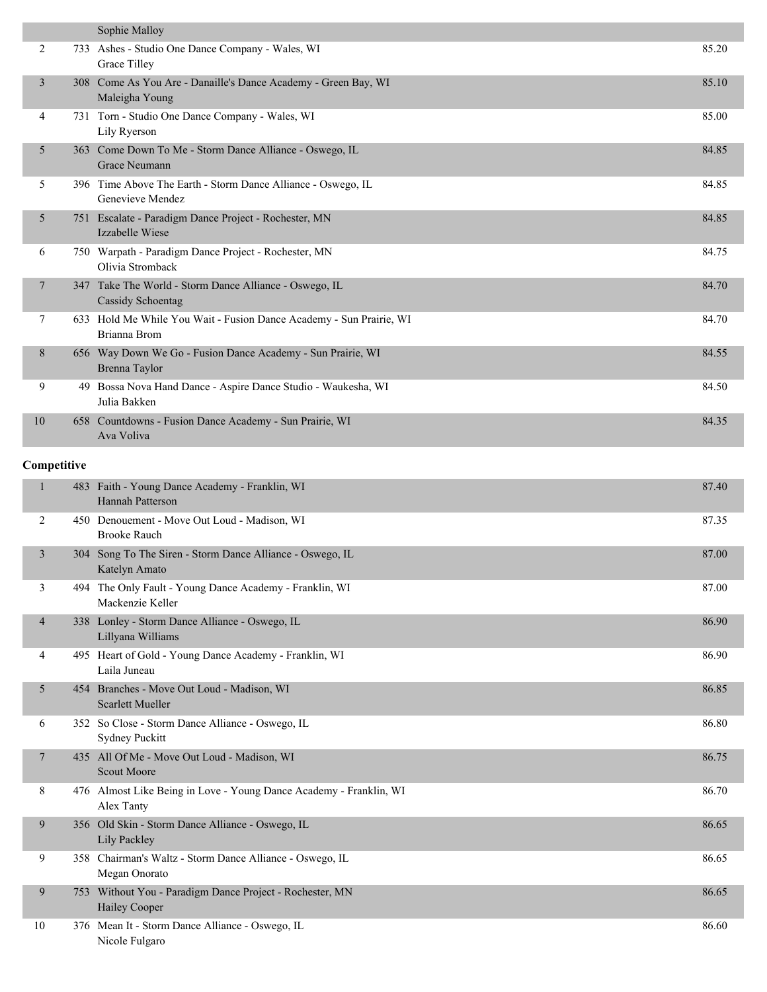|    | Sophie Malloy                                                                       |       |
|----|-------------------------------------------------------------------------------------|-------|
| 2  | 733 Ashes - Studio One Dance Company - Wales, WI<br>Grace Tilley                    | 85.20 |
| 3  | 308 Come As You Are - Danaille's Dance Academy - Green Bay, WI<br>Maleigha Young    | 85.10 |
| 4  | 731 Torn - Studio One Dance Company - Wales, WI<br>Lily Ryerson                     | 85.00 |
| 5  | 363 Come Down To Me - Storm Dance Alliance - Oswego, IL<br><b>Grace Neumann</b>     | 84.85 |
| 5  | 396 Time Above The Earth - Storm Dance Alliance - Oswego, IL<br>Genevieve Mendez    | 84.85 |
| 5  | 751 Escalate - Paradigm Dance Project - Rochester, MN<br>Izzabelle Wiese            | 84.85 |
| 6  | 750 Warpath - Paradigm Dance Project - Rochester, MN<br>Olivia Stromback            | 84.75 |
| 7  | 347 Take The World - Storm Dance Alliance - Oswego, IL<br>Cassidy Schoentag         | 84.70 |
| 7  | 633 Hold Me While You Wait - Fusion Dance Academy - Sun Prairie, WI<br>Brianna Brom | 84.70 |
| 8  | 656 Way Down We Go - Fusion Dance Academy - Sun Prairie, WI<br>Brenna Taylor        | 84.55 |
| 9  | 49 Bossa Nova Hand Dance - Aspire Dance Studio - Waukesha, WI<br>Julia Bakken       | 84.50 |
| 10 | 658 Countdowns - Fusion Dance Academy - Sun Prairie, WI<br>Ava Voliva               | 84.35 |

#### **Competitive**

| $\mathbf{1}$   |     | 483 Faith - Young Dance Academy - Franklin, WI<br><b>Hannah Patterson</b>        | 87.40 |
|----------------|-----|----------------------------------------------------------------------------------|-------|
| 2              |     | 450 Denouement - Move Out Loud - Madison, WI<br><b>Brooke Rauch</b>              | 87.35 |
| $\overline{3}$ | 304 | Song To The Siren - Storm Dance Alliance - Oswego, IL<br>Katelyn Amato           | 87.00 |
| 3              |     | 494 The Only Fault - Young Dance Academy - Franklin, WI<br>Mackenzie Keller      | 87.00 |
| $\overline{4}$ |     | 338 Lonley - Storm Dance Alliance - Oswego, IL<br>Lillyana Williams              | 86.90 |
| 4              |     | 495 Heart of Gold - Young Dance Academy - Franklin, WI<br>Laila Juneau           | 86.90 |
| 5              |     | 454 Branches - Move Out Loud - Madison, WI<br><b>Scarlett Mueller</b>            | 86.85 |
| 6              |     | 352 So Close - Storm Dance Alliance - Oswego, IL<br><b>Sydney Puckitt</b>        | 86.80 |
| $\tau$         |     | 435 All Of Me - Move Out Loud - Madison, WI<br><b>Scout Moore</b>                | 86.75 |
| 8              |     | 476 Almost Like Being in Love - Young Dance Academy - Franklin, WI<br>Alex Tanty | 86.70 |
| 9              |     | 356 Old Skin - Storm Dance Alliance - Oswego, IL<br>Lily Packley                 | 86.65 |
| 9              |     | 358 Chairman's Waltz - Storm Dance Alliance - Oswego, IL<br>Megan Onorato        | 86.65 |
| 9              | 753 | Without You - Paradigm Dance Project - Rochester, MN<br>Hailey Cooper            | 86.65 |
| 10             |     | 376 Mean It - Storm Dance Alliance - Oswego, IL<br>Nicole Fulgaro                | 86.60 |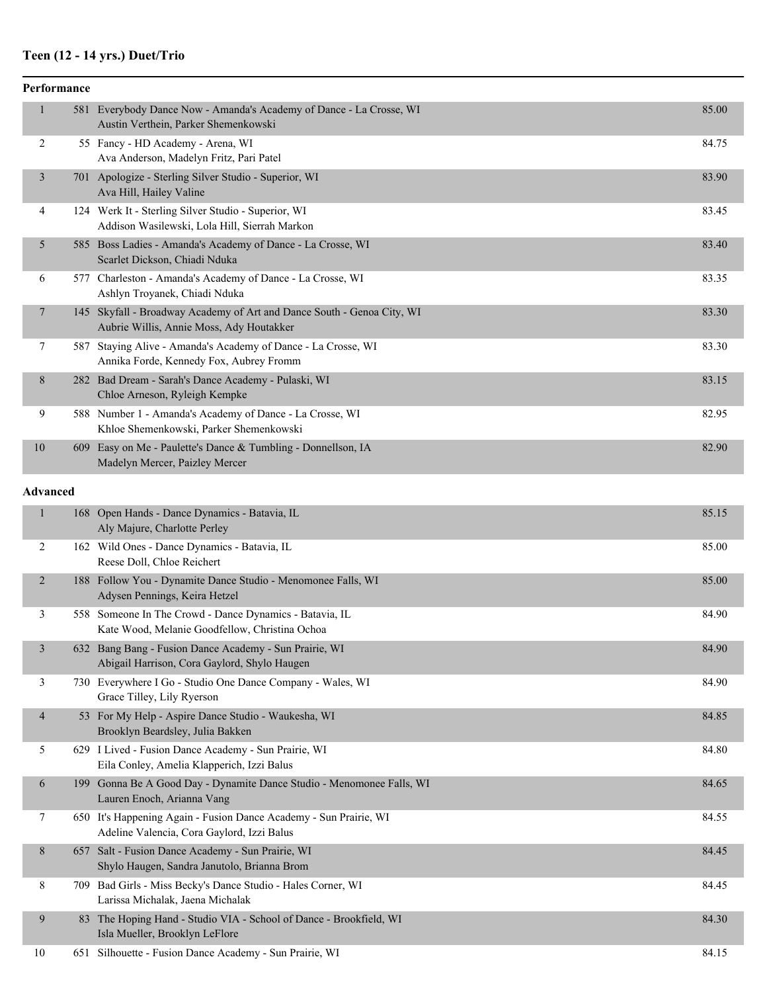#### **Teen (12 - 14 yrs.) Duet/Trio**

|                 | Performance |                                                                                                                    |       |  |  |
|-----------------|-------------|--------------------------------------------------------------------------------------------------------------------|-------|--|--|
| $\mathbf{1}$    |             | 581 Everybody Dance Now - Amanda's Academy of Dance - La Crosse, WI<br>Austin Verthein, Parker Shemenkowski        | 85.00 |  |  |
| 2               |             | 55 Fancy - HD Academy - Arena, WI<br>Ava Anderson, Madelyn Fritz, Pari Patel                                       | 84.75 |  |  |
| 3               |             | 701 Apologize - Sterling Silver Studio - Superior, WI<br>Ava Hill, Hailey Valine                                   | 83.90 |  |  |
| 4               |             | 124 Werk It - Sterling Silver Studio - Superior, WI<br>Addison Wasilewski, Lola Hill, Sierrah Markon               | 83.45 |  |  |
| 5               |             | 585 Boss Ladies - Amanda's Academy of Dance - La Crosse, WI<br>Scarlet Dickson, Chiadi Nduka                       | 83.40 |  |  |
| 6               |             | 577 Charleston - Amanda's Academy of Dance - La Crosse, WI<br>Ashlyn Troyanek, Chiadi Nduka                        | 83.35 |  |  |
| 7               |             | 145 Skyfall - Broadway Academy of Art and Dance South - Genoa City, WI<br>Aubrie Willis, Annie Moss, Ady Houtakker | 83.30 |  |  |
| 7               |             | 587 Staying Alive - Amanda's Academy of Dance - La Crosse, WI<br>Annika Forde, Kennedy Fox, Aubrey Fromm           | 83.30 |  |  |
| 8               |             | 282 Bad Dream - Sarah's Dance Academy - Pulaski, WI<br>Chloe Arneson, Ryleigh Kempke                               | 83.15 |  |  |
| 9               |             | 588 Number 1 - Amanda's Academy of Dance - La Crosse, WI<br>Khloe Shemenkowski, Parker Shemenkowski                | 82.95 |  |  |
| 10              |             | 609 Easy on Me - Paulette's Dance & Tumbling - Donnellson, IA<br>Madelyn Mercer, Paizley Mercer                    | 82.90 |  |  |
| <b>Advanced</b> |             |                                                                                                                    |       |  |  |
| $\mathbf{1}$    |             | 168 Open Hands - Dance Dynamics - Batavia, IL<br>Aly Majure, Charlotte Perley                                      | 85.15 |  |  |
| $\overline{2}$  |             | 162 Wild Ones - Dance Dynamics - Batavia, IL<br>Reese Doll, Chloe Reichert                                         | 85.00 |  |  |
| $\overline{2}$  |             | 188 Follow You - Dynamite Dance Studio - Menomonee Falls, WI<br>Advsen Pennings, Keira Hetzel                      | 85.00 |  |  |

|  | 1.00                                                                                                      |       |
|--|-----------------------------------------------------------------------------------------------------------|-------|
|  | 558 Someone In The Crowd - Dance Dynamics - Batavia, IL<br>Kate Wood, Melanie Goodfellow, Christina Ochoa | 84.90 |
|  | 632 Bang Bang - Fusion Dance Academy - Sun Prairie, WI<br>Abigail Harrison, Cora Gaylord, Shylo Haugen    | 84.90 |
|  | 730 Everywhere I Go - Studio One Dance Company - Wales, WI                                                | 84.90 |

Grace Tilley, Lily Ryerson 4 53 For My Help - Aspire Dance Studio - Waukesha, WI 84.85 Brooklyn Beardsley, Julia Bakken 5 629 I Lived - Fusion Dance Academy - Sun Prairie, WI 84.80 Eila Conley, Amelia Klapperich, Izzi Balus 6 199 Gonna Be A Good Day - Dynamite Dance Studio - Menomonee Falls, WI 84.65 Lauren Enoch, Arianna Vang 7 650 It's Happening Again - Fusion Dance Academy - Sun Prairie, WI 84.55 Adeline Valencia, Cora Gaylord, Izzi Balus 8 657 Salt - Fusion Dance Academy - Sun Prairie, WI 84.45 Shylo Haugen, Sandra Janutolo, Brianna Brom 8 709 Bad Girls - Miss Becky's Dance Studio - Hales Corner, WI 84.45

Larissa Michalak, Jaena Michalak 9 83 The Hoping Hand - Studio VIA - School of Dance - Brookfield, WI 84.30 Isla Mueller, Brooklyn LeFlore

10 651 Silhouette - Fusion Dance Academy - Sun Prairie, WI 84.15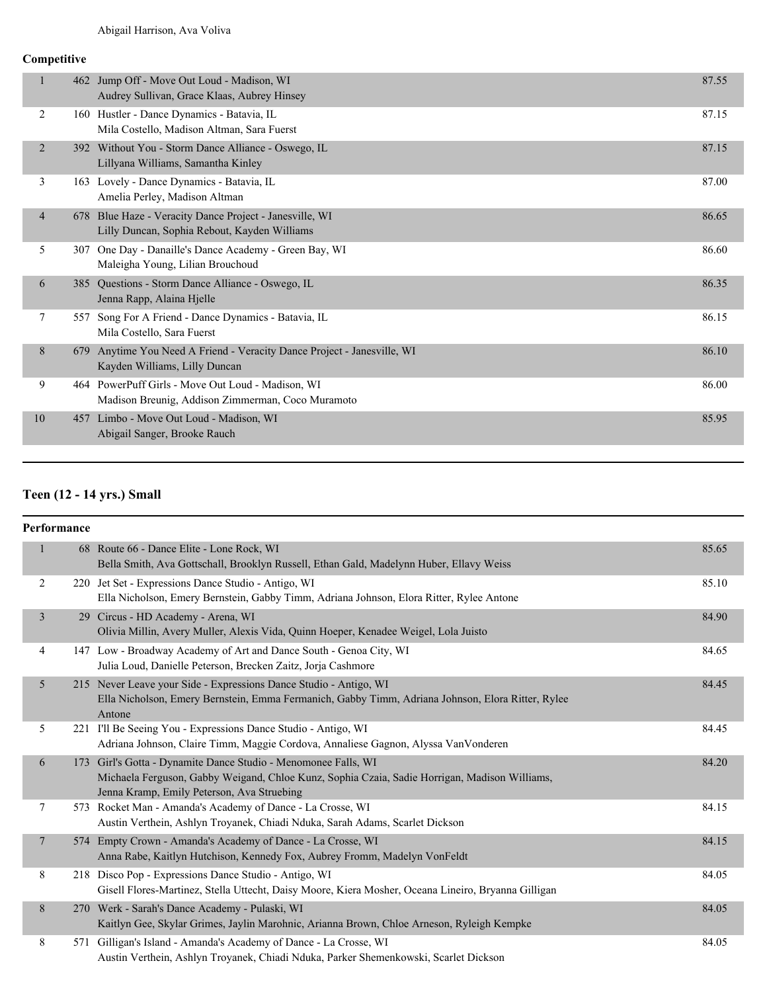#### **Competitive**

|                | 462 | Jump Off - Move Out Loud - Madison, WI<br>Audrey Sullivan, Grace Klaas, Aubrey Hinsey                  | 87.55 |
|----------------|-----|--------------------------------------------------------------------------------------------------------|-------|
| 2              |     | 160 Hustler - Dance Dynamics - Batavia, IL<br>Mila Costello, Madison Altman, Sara Fuerst               | 87.15 |
| $\overline{2}$ |     | 392 Without You - Storm Dance Alliance - Oswego, IL<br>Lillyana Williams, Samantha Kinley              | 87.15 |
| 3              |     | 163 Lovely - Dance Dynamics - Batavia, IL<br>Amelia Perley, Madison Altman                             | 87.00 |
| $\overline{4}$ | 678 | Blue Haze - Veracity Dance Project - Janesville, WI<br>Lilly Duncan, Sophia Rebout, Kayden Williams    | 86.65 |
| 5              | 307 | One Day - Danaille's Dance Academy - Green Bay, WI<br>Maleigha Young, Lilian Brouchoud                 | 86.60 |
| 6              | 385 | Questions - Storm Dance Alliance - Oswego, IL<br>Jenna Rapp, Alaina Hjelle                             | 86.35 |
| 7              | 557 | Song For A Friend - Dance Dynamics - Batavia, IL<br>Mila Costello, Sara Fuerst                         | 86.15 |
| 8              | 679 | Anytime You Need A Friend - Veracity Dance Project - Janesville, WI<br>Kayden Williams, Lilly Duncan   | 86.10 |
| 9              |     | 464 PowerPuff Girls - Move Out Loud - Madison, WI<br>Madison Breunig, Addison Zimmerman, Coco Muramoto | 86.00 |
| 10             | 457 | Limbo - Move Out Loud - Madison, WI<br>Abigail Sanger, Brooke Rauch                                    | 85.95 |
|                |     |                                                                                                        |       |

#### **Teen (12 - 14 yrs.) Small**

#### **Performance**

|                | 68 Route 66 - Dance Elite - Lone Rock, WI<br>Bella Smith, Ava Gottschall, Brooklyn Russell, Ethan Gald, Madelynn Huber, Ellavy Weiss                                                                          | 85.65 |
|----------------|---------------------------------------------------------------------------------------------------------------------------------------------------------------------------------------------------------------|-------|
| 2              | 220 Jet Set - Expressions Dance Studio - Antigo, WI<br>Ella Nicholson, Emery Bernstein, Gabby Timm, Adriana Johnson, Elora Ritter, Rylee Antone                                                               | 85.10 |
| $\overline{3}$ | 29 Circus - HD Academy - Arena, WI<br>Olivia Millin, Avery Muller, Alexis Vida, Quinn Hoeper, Kenadee Weigel, Lola Juisto                                                                                     | 84.90 |
| 4              | 147 Low - Broadway Academy of Art and Dance South - Genoa City, WI<br>Julia Loud, Danielle Peterson, Brecken Zaitz, Joria Cashmore                                                                            | 84.65 |
| 5 <sup>1</sup> | 215 Never Leave your Side - Expressions Dance Studio - Antigo, WI<br>Ella Nicholson, Emery Bernstein, Emma Fermanich, Gabby Timm, Adriana Johnson, Elora Ritter, Rylee<br>Antone                              | 84.45 |
| 5              | 221 I'll Be Seeing You - Expressions Dance Studio - Antigo, WI<br>Adriana Johnson, Claire Timm, Maggie Cordova, Annaliese Gagnon, Alyssa VanVonderen                                                          | 84.45 |
| 6              | 173 Girl's Gotta - Dynamite Dance Studio - Menomonee Falls, WI<br>Michaela Ferguson, Gabby Weigand, Chloe Kunz, Sophia Czaia, Sadie Horrigan, Madison Williams,<br>Jenna Kramp, Emily Peterson, Ava Struebing | 84.20 |
| 7              | 573 Rocket Man - Amanda's Academy of Dance - La Crosse, WI<br>Austin Verthein, Ashlyn Troyanek, Chiadi Nduka, Sarah Adams, Scarlet Dickson                                                                    | 84.15 |
| $\tau$         | 574 Empty Crown - Amanda's Academy of Dance - La Crosse, WI<br>Anna Rabe, Kaitlyn Hutchison, Kennedy Fox, Aubrey Fromm, Madelyn VonFeldt                                                                      | 84.15 |
| 8              | 218 Disco Pop - Expressions Dance Studio - Antigo, WI<br>Gisell Flores-Martinez, Stella Uttecht, Daisy Moore, Kiera Mosher, Oceana Lineiro, Bryanna Gilligan                                                  | 84.05 |
| 8              | 270 Werk - Sarah's Dance Academy - Pulaski, WI<br>Kaitlyn Gee, Skylar Grimes, Jaylin Marohnic, Arianna Brown, Chloe Arneson, Ryleigh Kempke                                                                   | 84.05 |
| 8              | 571 Gilligan's Island - Amanda's Academy of Dance - La Crosse, WI<br>Austin Verthein, Ashlyn Troyanek, Chiadi Nduka, Parker Shemenkowski, Scarlet Dickson                                                     | 84.05 |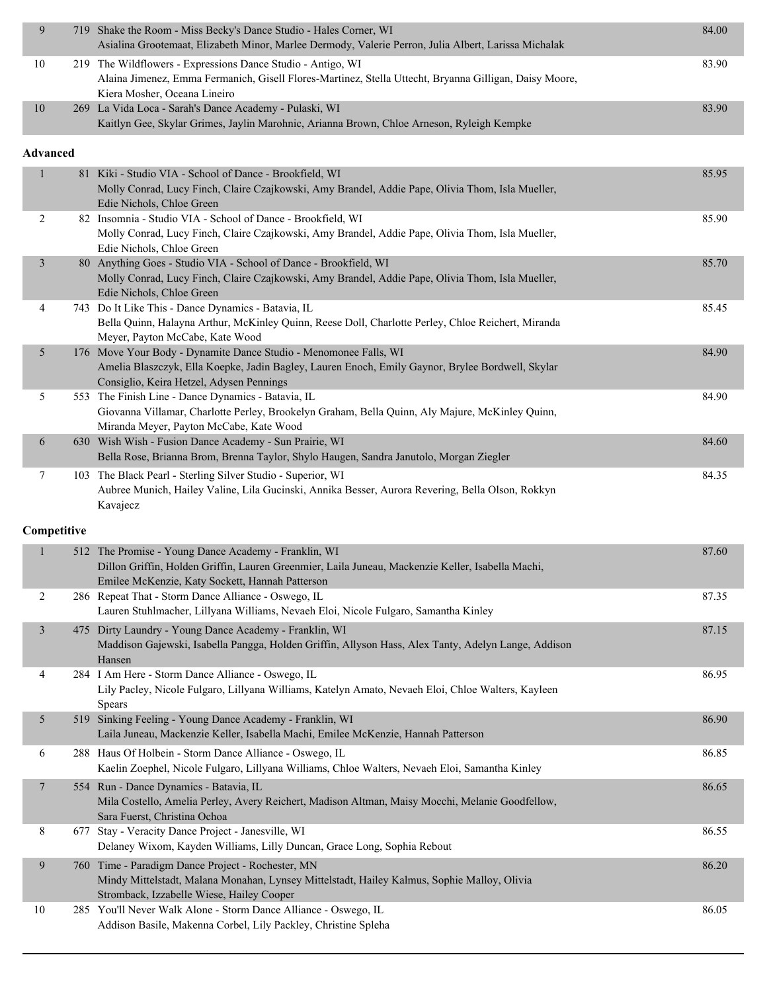| 9               |     | 719 Shake the Room - Miss Becky's Dance Studio - Hales Corner, WI<br>Asialina Grootemaat, Elizabeth Minor, Marlee Dermody, Valerie Perron, Julia Albert, Larissa Michalak                             | 84.00 |
|-----------------|-----|-------------------------------------------------------------------------------------------------------------------------------------------------------------------------------------------------------|-------|
| $10\,$          |     | 219 The Wildflowers - Expressions Dance Studio - Antigo, WI<br>Alaina Jimenez, Emma Fermanich, Gisell Flores-Martinez, Stella Uttecht, Bryanna Gilligan, Daisy Moore,<br>Kiera Mosher, Oceana Lineiro | 83.90 |
| 10              |     | 269 La Vida Loca - Sarah's Dance Academy - Pulaski, WI<br>Kaitlyn Gee, Skylar Grimes, Jaylin Marohnic, Arianna Brown, Chloe Arneson, Ryleigh Kempke                                                   | 83.90 |
| <b>Advanced</b> |     |                                                                                                                                                                                                       |       |
| $\mathbf{1}$    |     | 81 Kiki - Studio VIA - School of Dance - Brookfield, WI                                                                                                                                               | 85.95 |
|                 |     | Molly Conrad, Lucy Finch, Claire Czajkowski, Amy Brandel, Addie Pape, Olivia Thom, Isla Mueller,                                                                                                      |       |
| 2               |     | Edie Nichols, Chloe Green<br>82 Insomnia - Studio VIA - School of Dance - Brookfield, WI                                                                                                              | 85.90 |
|                 |     | Molly Conrad, Lucy Finch, Claire Czajkowski, Amy Brandel, Addie Pape, Olivia Thom, Isla Mueller,                                                                                                      |       |
|                 |     | Edie Nichols, Chloe Green                                                                                                                                                                             |       |
| 3               |     | 80 Anything Goes - Studio VIA - School of Dance - Brookfield, WI<br>Molly Conrad, Lucy Finch, Claire Czajkowski, Amy Brandel, Addie Pape, Olivia Thom, Isla Mueller,<br>Edie Nichols, Chloe Green     | 85.70 |
| 4               |     | 743 Do It Like This - Dance Dynamics - Batavia, IL                                                                                                                                                    | 85.45 |
|                 |     | Bella Quinn, Halayna Arthur, McKinley Quinn, Reese Doll, Charlotte Perley, Chloe Reichert, Miranda<br>Meyer, Payton McCabe, Kate Wood                                                                 |       |
| 5               |     | 176 Move Your Body - Dynamite Dance Studio - Menomonee Falls, WI                                                                                                                                      | 84.90 |
|                 |     | Amelia Blaszczyk, Ella Koepke, Jadin Bagley, Lauren Enoch, Emily Gaynor, Brylee Bordwell, Skylar                                                                                                      |       |
| 5               |     | Consiglio, Keira Hetzel, Adysen Pennings<br>553 The Finish Line - Dance Dynamics - Batavia, IL                                                                                                        | 84.90 |
|                 |     | Giovanna Villamar, Charlotte Perley, Brookelyn Graham, Bella Quinn, Aly Majure, McKinley Quinn,                                                                                                       |       |
|                 |     | Miranda Meyer, Payton McCabe, Kate Wood                                                                                                                                                               |       |
| 6               |     | 630 Wish Wish - Fusion Dance Academy - Sun Prairie, WI<br>Bella Rose, Brianna Brom, Brenna Taylor, Shylo Haugen, Sandra Janutolo, Morgan Ziegler                                                      | 84.60 |
| 7               |     | 103 The Black Pearl - Sterling Silver Studio - Superior, WI                                                                                                                                           | 84.35 |
|                 |     | Aubree Munich, Hailey Valine, Lila Gucinski, Annika Besser, Aurora Revering, Bella Olson, Rokkyn                                                                                                      |       |
|                 |     | Kavajecz                                                                                                                                                                                              |       |
|                 |     |                                                                                                                                                                                                       |       |
| Competitive     |     |                                                                                                                                                                                                       |       |
| $\mathbf{1}$    |     | 512 The Promise - Young Dance Academy - Franklin, WI                                                                                                                                                  | 87.60 |
|                 |     | Dillon Griffin, Holden Griffin, Lauren Greenmier, Laila Juneau, Mackenzie Keller, Isabella Machi,                                                                                                     |       |
|                 |     | Emilee McKenzie, Katy Sockett, Hannah Patterson                                                                                                                                                       |       |
| $\overline{2}$  |     | 286 Repeat That - Storm Dance Alliance - Oswego, IL<br>Lauren Stuhlmacher, Lillyana Williams, Nevaeh Eloi, Nicole Fulgaro, Samantha Kinley                                                            | 87.35 |
| $\mathfrak{Z}$  |     | 475 Dirty Laundry - Young Dance Academy - Franklin, WI                                                                                                                                                | 87.15 |
|                 |     | Maddison Gajewski, Isabella Pangga, Holden Griffin, Allyson Hass, Alex Tanty, Adelyn Lange, Addison                                                                                                   |       |
|                 |     | Hansen                                                                                                                                                                                                |       |
| 4               |     | 284 I Am Here - Storm Dance Alliance - Oswego, IL<br>Lily Pacley, Nicole Fulgaro, Lillyana Williams, Katelyn Amato, Nevaeh Eloi, Chloe Walters, Kayleen                                               | 86.95 |
|                 |     | <b>Spears</b>                                                                                                                                                                                         |       |
| 5               |     | 519 Sinking Feeling - Young Dance Academy - Franklin, WI<br>Laila Juneau, Mackenzie Keller, Isabella Machi, Emilee McKenzie, Hannah Patterson                                                         | 86.90 |
| 6               |     | 288 Haus Of Holbein - Storm Dance Alliance - Oswego, IL                                                                                                                                               | 86.85 |
|                 |     | Kaelin Zoephel, Nicole Fulgaro, Lillyana Williams, Chloe Walters, Nevaeh Eloi, Samantha Kinley                                                                                                        |       |
| 7               |     | 554 Run - Dance Dynamics - Batavia, IL<br>Mila Costello, Amelia Perley, Avery Reichert, Madison Altman, Maisy Mocchi, Melanie Goodfellow,                                                             | 86.65 |
|                 |     | Sara Fuerst, Christina Ochoa                                                                                                                                                                          |       |
| 8               |     | 677 Stay - Veracity Dance Project - Janesville, WI<br>Delaney Wixom, Kayden Williams, Lilly Duncan, Grace Long, Sophia Rebout                                                                         | 86.55 |
| 9               | 760 | Time - Paradigm Dance Project - Rochester, MN                                                                                                                                                         | 86.20 |
|                 |     | Mindy Mittelstadt, Malana Monahan, Lynsey Mittelstadt, Hailey Kalmus, Sophie Malloy, Olivia                                                                                                           |       |
| $10\,$          |     | Stromback, Izzabelle Wiese, Hailey Cooper<br>285 You'll Never Walk Alone - Storm Dance Alliance - Oswego, IL                                                                                          | 86.05 |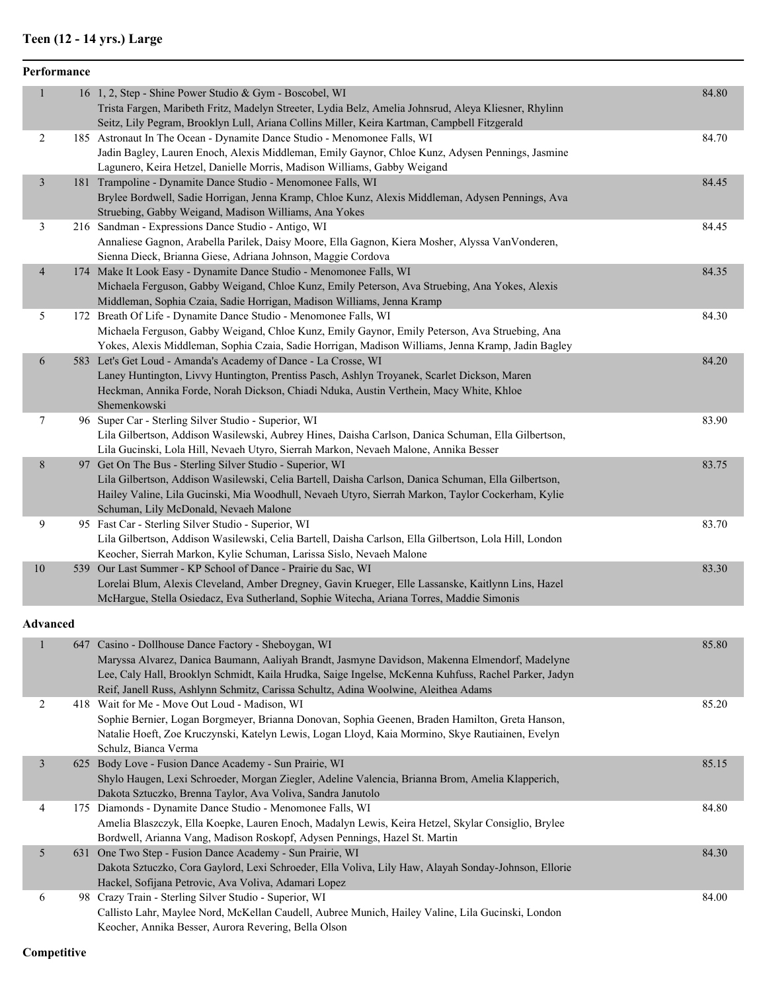### **Teen (12 - 14 yrs.) Large**

|                | Performance |                                                                                                                                                                                                                                                                                                                                                       |       |
|----------------|-------------|-------------------------------------------------------------------------------------------------------------------------------------------------------------------------------------------------------------------------------------------------------------------------------------------------------------------------------------------------------|-------|
| 1              |             | 16 1, 2, Step - Shine Power Studio & Gym - Boscobel, WI<br>Trista Fargen, Maribeth Fritz, Madelyn Streeter, Lydia Belz, Amelia Johnsrud, Aleya Kliesner, Rhylinn<br>Seitz, Lily Pegram, Brooklyn Lull, Ariana Collins Miller, Keira Kartman, Campbell Fitzgerald                                                                                      | 84.80 |
| $\sqrt{2}$     |             | 185 Astronaut In The Ocean - Dynamite Dance Studio - Menomonee Falls, WI<br>Jadin Bagley, Lauren Enoch, Alexis Middleman, Emily Gaynor, Chloe Kunz, Adysen Pennings, Jasmine<br>Lagunero, Keira Hetzel, Danielle Morris, Madison Williams, Gabby Weigand                                                                                              | 84.70 |
| $\mathfrak{Z}$ |             | 181 Trampoline - Dynamite Dance Studio - Menomonee Falls, WI<br>Brylee Bordwell, Sadie Horrigan, Jenna Kramp, Chloe Kunz, Alexis Middleman, Adysen Pennings, Ava<br>Struebing, Gabby Weigand, Madison Williams, Ana Yokes                                                                                                                             | 84.45 |
| 3              |             | 216 Sandman - Expressions Dance Studio - Antigo, WI<br>Annaliese Gagnon, Arabella Parilek, Daisy Moore, Ella Gagnon, Kiera Mosher, Alyssa VanVonderen,<br>Sienna Dieck, Brianna Giese, Adriana Johnson, Maggie Cordova                                                                                                                                | 84.45 |
| $\overline{4}$ |             | 174 Make It Look Easy - Dynamite Dance Studio - Menomonee Falls, WI<br>Michaela Ferguson, Gabby Weigand, Chloe Kunz, Emily Peterson, Ava Struebing, Ana Yokes, Alexis<br>Middleman, Sophia Czaia, Sadie Horrigan, Madison Williams, Jenna Kramp                                                                                                       | 84.35 |
| 5              |             | 172 Breath Of Life - Dynamite Dance Studio - Menomonee Falls, WI<br>Michaela Ferguson, Gabby Weigand, Chloe Kunz, Emily Gaynor, Emily Peterson, Ava Struebing, Ana<br>Yokes, Alexis Middleman, Sophia Czaia, Sadie Horrigan, Madison Williams, Jenna Kramp, Jadin Bagley                                                                              | 84.30 |
| 6              |             | 583 Let's Get Loud - Amanda's Academy of Dance - La Crosse, WI<br>Laney Huntington, Livvy Huntington, Prentiss Pasch, Ashlyn Troyanek, Scarlet Dickson, Maren<br>Heckman, Annika Forde, Norah Dickson, Chiadi Nduka, Austin Verthein, Macy White, Khloe<br>Shemenkowski                                                                               | 84.20 |
| 7              |             | 96 Super Car - Sterling Silver Studio - Superior, WI<br>Lila Gilbertson, Addison Wasilewski, Aubrey Hines, Daisha Carlson, Danica Schuman, Ella Gilbertson,<br>Lila Gucinski, Lola Hill, Nevaeh Utyro, Sierrah Markon, Nevaeh Malone, Annika Besser                                                                                                   | 83.90 |
| 8              |             | 97 Get On The Bus - Sterling Silver Studio - Superior, WI<br>Lila Gilbertson, Addison Wasilewski, Celia Bartell, Daisha Carlson, Danica Schuman, Ella Gilbertson,<br>Hailey Valine, Lila Gucinski, Mia Woodhull, Nevaeh Utyro, Sierrah Markon, Taylor Cockerham, Kylie<br>Schuman, Lily McDonald, Nevaeh Malone                                       | 83.75 |
| 9              |             | 95 Fast Car - Sterling Silver Studio - Superior, WI<br>Lila Gilbertson, Addison Wasilewski, Celia Bartell, Daisha Carlson, Ella Gilbertson, Lola Hill, London<br>Keocher, Sierrah Markon, Kylie Schuman, Larissa Sislo, Nevaeh Malone                                                                                                                 | 83.70 |
| 10             |             | 539 Our Last Summer - KP School of Dance - Prairie du Sac, WI<br>Lorelai Blum, Alexis Cleveland, Amber Dregney, Gavin Krueger, Elle Lassanske, Kaitlynn Lins, Hazel<br>McHargue, Stella Osiedacz, Eva Sutherland, Sophie Witecha, Ariana Torres, Maddie Simonis                                                                                       | 83.30 |
| Advanced       |             |                                                                                                                                                                                                                                                                                                                                                       |       |
| $\mathbf{1}$   |             | 647 Casino - Dollhouse Dance Factory - Sheboygan, WI<br>Maryssa Alvarez, Danica Baumann, Aaliyah Brandt, Jasmyne Davidson, Makenna Elmendorf, Madelyne<br>Lee, Caly Hall, Brooklyn Schmidt, Kaila Hrudka, Saige Ingelse, McKenna Kuhfuss, Rachel Parker, Jadyn<br>Reif, Janell Russ, Ashlynn Schmitz, Carissa Schultz, Adina Woolwine, Aleithea Adams | 85.80 |
| $\overline{2}$ |             | 418 Wait for Me - Move Out Loud - Madison, WI<br>Sophie Bernier, Logan Borgmeyer, Brianna Donovan, Sophia Geenen, Braden Hamilton, Greta Hanson,<br>Natalie Hoeft. Zoe Kruczynski, Katelyn Lewis, Logan Lloyd, Kaia Mormino, Skye Rautiainen, Evelyn                                                                                                  | 85.20 |

|   | 647 Casino - Dollhouse Dance Factory - Sheboygan, WI                                                 | 85.80 |
|---|------------------------------------------------------------------------------------------------------|-------|
|   | Maryssa Alvarez, Danica Baumann, Aaliyah Brandt, Jasmyne Davidson, Makenna Elmendorf, Madelyne       |       |
|   | Lee, Caly Hall, Brooklyn Schmidt, Kaila Hrudka, Saige Ingelse, McKenna Kuhfuss, Rachel Parker, Jadyn |       |
|   | Reif, Janell Russ, Ashlynn Schmitz, Carissa Schultz, Adina Woolwine, Aleithea Adams                  |       |
| 2 | 418 Wait for Me - Move Out Loud - Madison, WI                                                        | 85.20 |
|   | Sophie Bernier, Logan Borgmeyer, Brianna Donovan, Sophia Geenen, Braden Hamilton, Greta Hanson,      |       |
|   | Natalie Hoeft, Zoe Kruczynski, Katelyn Lewis, Logan Lloyd, Kaia Mormino, Skye Rautiainen, Evelyn     |       |
|   | Schulz, Bianca Verma                                                                                 |       |
| 3 | 625 Body Love - Fusion Dance Academy - Sun Prairie, WI                                               | 85.15 |
|   | Shylo Haugen, Lexi Schroeder, Morgan Ziegler, Adeline Valencia, Brianna Brom, Amelia Klapperich,     |       |
|   | Dakota Sztuczko, Brenna Taylor, Ava Voliva, Sandra Janutolo                                          |       |
| 4 | 175 Diamonds - Dynamite Dance Studio - Menomonee Falls, WI                                           | 84.80 |
|   | Amelia Blaszczyk, Ella Koepke, Lauren Enoch, Madalyn Lewis, Keira Hetzel, Skylar Consiglio, Brylee   |       |
|   | Bordwell, Arianna Vang, Madison Roskopf, Adysen Pennings, Hazel St. Martin                           |       |
| 5 | 631 One Two Step - Fusion Dance Academy - Sun Prairie, WI                                            | 84.30 |
|   | Dakota Sztuczko, Cora Gaylord, Lexi Schroeder, Ella Voliva, Lily Haw, Alayah Sonday-Johnson, Ellorie |       |
|   | Hackel, Sofijana Petrovic, Ava Voliva, Adamari Lopez                                                 |       |
| 6 | 98 Crazy Train - Sterling Silver Studio - Superior, WI                                               | 84.00 |
|   | Callisto Lahr, Maylee Nord, McKellan Caudell, Aubree Munich, Hailey Valine, Lila Gucinski, London    |       |
|   | Keocher, Annika Besser, Aurora Revering, Bella Olson                                                 |       |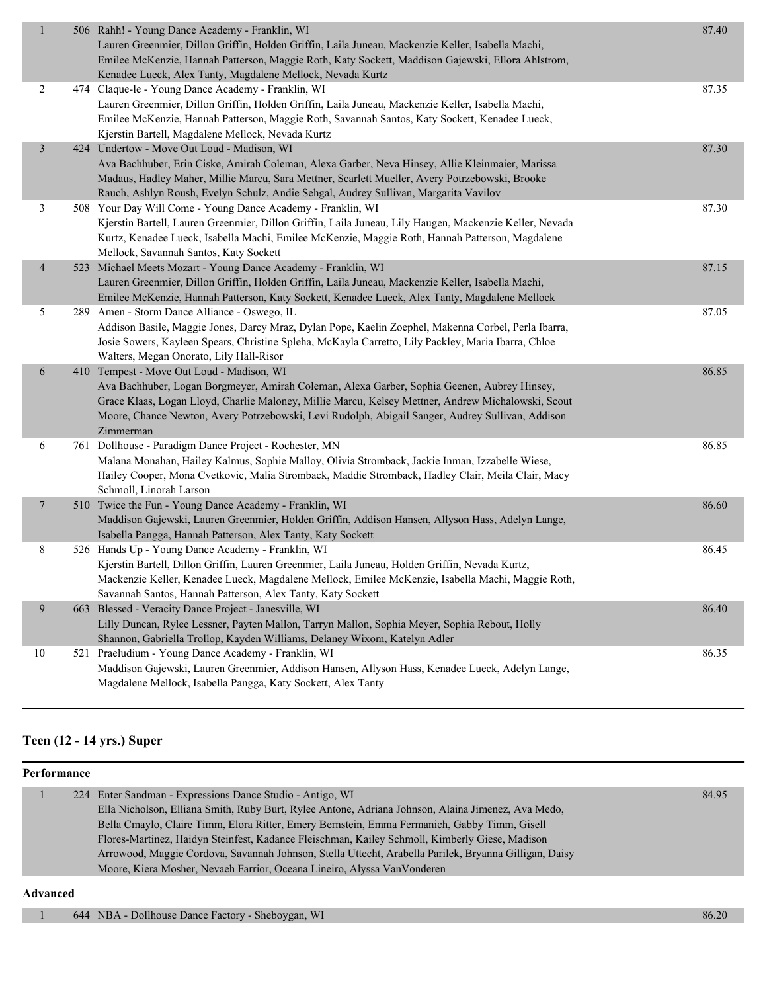| $\mathbf{1}$   |     | 506 Rahh! - Young Dance Academy - Franklin, WI<br>Lauren Greenmier, Dillon Griffin, Holden Griffin, Laila Juneau, Mackenzie Keller, Isabella Machi,<br>Emilee McKenzie, Hannah Patterson, Maggie Roth, Katy Sockett, Maddison Gajewski, Ellora Ahlstrom,<br>Kenadee Lueck, Alex Tanty, Magdalene Mellock, Nevada Kurtz                                          | 87.40 |
|----------------|-----|-----------------------------------------------------------------------------------------------------------------------------------------------------------------------------------------------------------------------------------------------------------------------------------------------------------------------------------------------------------------|-------|
| $\overline{2}$ |     | 474 Claque-le - Young Dance Academy - Franklin, WI<br>Lauren Greenmier, Dillon Griffin, Holden Griffin, Laila Juneau, Mackenzie Keller, Isabella Machi,<br>Emilee McKenzie, Hannah Patterson, Maggie Roth, Savannah Santos, Katy Sockett, Kenadee Lueck,<br>Kjerstin Bartell, Magdalene Mellock, Nevada Kurtz                                                   | 87.35 |
| $\mathfrak{Z}$ |     | 424 Undertow - Move Out Loud - Madison, WI<br>Ava Bachhuber, Erin Ciske, Amirah Coleman, Alexa Garber, Neva Hinsey, Allie Kleinmaier, Marissa<br>Madaus, Hadley Maher, Millie Marcu, Sara Mettner, Scarlett Mueller, Avery Potrzebowski, Brooke<br>Rauch, Ashlyn Roush, Evelyn Schulz, Andie Sehgal, Audrey Sullivan, Margarita Vavilov                         | 87.30 |
| $\mathfrak{Z}$ |     | 508 Your Day Will Come - Young Dance Academy - Franklin, WI<br>Kjerstin Bartell, Lauren Greenmier, Dillon Griffin, Laila Juneau, Lily Haugen, Mackenzie Keller, Nevada<br>Kurtz, Kenadee Lueck, Isabella Machi, Emilee McKenzie, Maggie Roth, Hannah Patterson, Magdalene<br>Mellock, Savannah Santos, Katy Sockett                                             | 87.30 |
| $\overline{4}$ |     | 523 Michael Meets Mozart - Young Dance Academy - Franklin, WI<br>Lauren Greenmier, Dillon Griffin, Holden Griffin, Laila Juneau, Mackenzie Keller, Isabella Machi,<br>Emilee McKenzie, Hannah Patterson, Katy Sockett, Kenadee Lueck, Alex Tanty, Magdalene Mellock                                                                                             | 87.15 |
| 5              |     | 289 Amen - Storm Dance Alliance - Oswego, IL<br>Addison Basile, Maggie Jones, Darcy Mraz, Dylan Pope, Kaelin Zoephel, Makenna Corbel, Perla Ibarra,<br>Josie Sowers, Kayleen Spears, Christine Spleha, McKayla Carretto, Lily Packley, Maria Ibarra, Chloe<br>Walters, Megan Onorato, Lily Hall-Risor                                                           | 87.05 |
| 6              |     | 410 Tempest - Move Out Loud - Madison, WI<br>Ava Bachhuber, Logan Borgmeyer, Amirah Coleman, Alexa Garber, Sophia Geenen, Aubrey Hinsey,<br>Grace Klaas, Logan Lloyd, Charlie Maloney, Millie Marcu, Kelsey Mettner, Andrew Michalowski, Scout<br>Moore, Chance Newton, Avery Potrzebowski, Levi Rudolph, Abigail Sanger, Audrey Sullivan, Addison<br>Zimmerman | 86.85 |
| 6              |     | 761 Dollhouse - Paradigm Dance Project - Rochester, MN<br>Malana Monahan, Hailey Kalmus, Sophie Malloy, Olivia Stromback, Jackie Inman, Izzabelle Wiese,<br>Hailey Cooper, Mona Cvetkovic, Malia Stromback, Maddie Stromback, Hadley Clair, Meila Clair, Macy<br>Schmoll, Linorah Larson                                                                        | 86.85 |
| $\overline{7}$ |     | 510 Twice the Fun - Young Dance Academy - Franklin, WI<br>Maddison Gajewski, Lauren Greenmier, Holden Griffin, Addison Hansen, Allyson Hass, Adelyn Lange,<br>Isabella Pangga, Hannah Patterson, Alex Tanty, Katy Sockett                                                                                                                                       | 86.60 |
| 8              |     | 526 Hands Up - Young Dance Academy - Franklin, WI<br>Kjerstin Bartell, Dillon Griffin, Lauren Greenmier, Laila Juneau, Holden Griffin, Nevada Kurtz,<br>Mackenzie Keller, Kenadee Lueck, Magdalene Mellock, Emilee McKenzie, Isabella Machi, Maggie Roth,<br>Savannah Santos, Hannah Patterson, Alex Tanty, Katy Sockett                                        | 86.45 |
| 9              |     | 663 Blessed - Veracity Dance Project - Janesville, WI<br>Lilly Duncan, Rylee Lessner, Payten Mallon, Tarryn Mallon, Sophia Meyer, Sophia Rebout, Holly<br>Shannon, Gabriella Trollop, Kayden Williams, Delaney Wixom, Katelyn Adler                                                                                                                             | 86.40 |
| 10             | 521 | Praeludium - Young Dance Academy - Franklin, WI<br>Maddison Gajewski, Lauren Greenmier, Addison Hansen, Allyson Hass, Kenadee Lueck, Adelyn Lange,<br>Magdalene Mellock, Isabella Pangga, Katy Sockett, Alex Tanty                                                                                                                                              | 86.35 |

### **Teen (12 - 14 yrs.) Super**

| Performance |                                                                                                       |       |
|-------------|-------------------------------------------------------------------------------------------------------|-------|
|             | 224 Enter Sandman - Expressions Dance Studio - Antigo, WI                                             | 84.95 |
|             | Ella Nicholson, Elliana Smith, Ruby Burt, Rylee Antone, Adriana Johnson, Alaina Jimenez, Ava Medo,    |       |
|             | Bella Cmaylo, Claire Timm, Elora Ritter, Emery Bernstein, Emma Fermanich, Gabby Timm, Gisell          |       |
|             | Flores-Martinez, Haidyn Steinfest, Kadance Fleischman, Kailey Schmoll, Kimberly Giese, Madison        |       |
|             | Arrowood, Maggie Cordova, Savannah Johnson, Stella Uttecht, Arabella Parilek, Bryanna Gilligan, Daisy |       |
|             | Moore, Kiera Mosher, Nevaeh Farrior, Oceana Lineiro, Alyssa VanVonderen                               |       |
| Advanced    |                                                                                                       |       |

#### **Advanced**

1 644 NBA - Dollhouse Dance Factory - Sheboygan, WI 86.20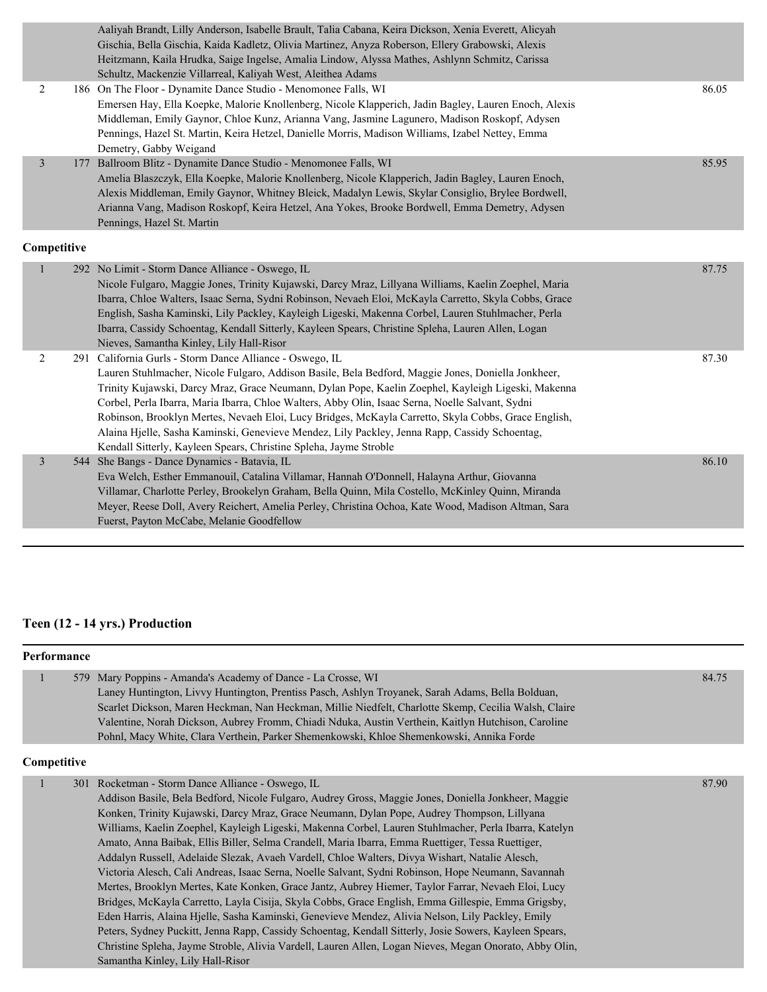| Aaliyah Brandt, Lilly Anderson, Isabelle Brault, Talia Cabana, Keira Dickson, Xenia Everett, Alicyah<br>Gischia, Bella Gischia, Kaida Kadletz, Olivia Martinez, Anyza Roberson, Ellery Grabowski, Alexis<br>Heitzmann, Kaila Hrudka, Saige Ingelse, Amalia Lindow, Alyssa Mathes, Ashlynn Schmitz, Carissa<br>Schultz, Mackenzie Villarreal, Kaliyah West, Aleithea Adams<br>$\overline{c}$<br>186 On The Floor - Dynamite Dance Studio - Menomonee Falls, WI<br>Emersen Hay, Ella Koepke, Malorie Knollenberg, Nicole Klapperich, Jadin Bagley, Lauren Enoch, Alexis<br>Middleman, Emily Gaynor, Chloe Kunz, Arianna Vang, Jasmine Lagunero, Madison Roskopf, Adysen<br>Pennings, Hazel St. Martin, Keira Hetzel, Danielle Morris, Madison Williams, Izabel Nettey, Emma<br>Demetry, Gabby Weigand<br>$\overline{3}$<br>177 Ballroom Blitz - Dynamite Dance Studio - Menomonee Falls, WI<br>Amelia Blaszczyk, Ella Koepke, Malorie Knollenberg, Nicole Klapperich, Jadin Bagley, Lauren Enoch,<br>Alexis Middleman, Emily Gaynor, Whitney Bleick, Madalyn Lewis, Skylar Consiglio, Brylee Bordwell,<br>Arianna Vang, Madison Roskopf, Keira Hetzel, Ana Yokes, Brooke Bordwell, Emma Demetry, Adysen<br>Pennings, Hazel St. Martin<br>$\mathbf{1}$<br>292 No Limit - Storm Dance Alliance - Oswego, IL<br>Nicole Fulgaro, Maggie Jones, Trinity Kujawski, Darcy Mraz, Lillyana Williams, Kaelin Zoephel, Maria<br>Ibarra, Chloe Walters, Isaac Serna, Sydni Robinson, Nevaeh Eloi, McKayla Carretto, Skyla Cobbs, Grace<br>English, Sasha Kaminski, Lily Packley, Kayleigh Ligeski, Makenna Corbel, Lauren Stuhlmacher, Perla<br>Ibarra, Cassidy Schoentag, Kendall Sitterly, Kayleen Spears, Christine Spleha, Lauren Allen, Logan<br>Nieves, Samantha Kinley, Lily Hall-Risor<br>291 California Gurls - Storm Dance Alliance - Oswego, IL<br>$\overline{c}$<br>Lauren Stuhlmacher, Nicole Fulgaro, Addison Basile, Bela Bedford, Maggie Jones, Doniella Jonkheer,<br>Trinity Kujawski, Darcy Mraz, Grace Neumann, Dylan Pope, Kaelin Zoephel, Kayleigh Ligeski, Makenna<br>Corbel, Perla Ibarra, Maria Ibarra, Chloe Walters, Abby Olin, Isaac Serna, Noelle Salvant, Sydni<br>Robinson, Brooklyn Mertes, Nevaeh Eloi, Lucy Bridges, McKayla Carretto, Skyla Cobbs, Grace English,<br>Alaina Hjelle, Sasha Kaminski, Genevieve Mendez, Lily Packley, Jenna Rapp, Cassidy Schoentag,<br>Kendall Sitterly, Kayleen Spears, Christine Spleha, Jayme Stroble<br>$\overline{3}$<br>She Bangs - Dance Dynamics - Batavia, IL<br>544<br>Eva Welch, Esther Emmanouil, Catalina Villamar, Hannah O'Donnell, Halayna Arthur, Giovanna<br>Villamar, Charlotte Perley, Brookelyn Graham, Bella Quinn, Mila Costello, McKinley Quinn, Miranda<br>Meyer, Reese Doll, Avery Reichert, Amelia Perley, Christina Ochoa, Kate Wood, Madison Altman, Sara |  |                                           |       |
|-------------------------------------------------------------------------------------------------------------------------------------------------------------------------------------------------------------------------------------------------------------------------------------------------------------------------------------------------------------------------------------------------------------------------------------------------------------------------------------------------------------------------------------------------------------------------------------------------------------------------------------------------------------------------------------------------------------------------------------------------------------------------------------------------------------------------------------------------------------------------------------------------------------------------------------------------------------------------------------------------------------------------------------------------------------------------------------------------------------------------------------------------------------------------------------------------------------------------------------------------------------------------------------------------------------------------------------------------------------------------------------------------------------------------------------------------------------------------------------------------------------------------------------------------------------------------------------------------------------------------------------------------------------------------------------------------------------------------------------------------------------------------------------------------------------------------------------------------------------------------------------------------------------------------------------------------------------------------------------------------------------------------------------------------------------------------------------------------------------------------------------------------------------------------------------------------------------------------------------------------------------------------------------------------------------------------------------------------------------------------------------------------------------------------------------------------------------------------------------------------------------------------------------------------------------------------------------------------------------------------------------------------------------------------------------------------------------------------------------------------------------------------------------------------------------------------------------------|--|-------------------------------------------|-------|
|                                                                                                                                                                                                                                                                                                                                                                                                                                                                                                                                                                                                                                                                                                                                                                                                                                                                                                                                                                                                                                                                                                                                                                                                                                                                                                                                                                                                                                                                                                                                                                                                                                                                                                                                                                                                                                                                                                                                                                                                                                                                                                                                                                                                                                                                                                                                                                                                                                                                                                                                                                                                                                                                                                                                                                                                                                           |  |                                           |       |
|                                                                                                                                                                                                                                                                                                                                                                                                                                                                                                                                                                                                                                                                                                                                                                                                                                                                                                                                                                                                                                                                                                                                                                                                                                                                                                                                                                                                                                                                                                                                                                                                                                                                                                                                                                                                                                                                                                                                                                                                                                                                                                                                                                                                                                                                                                                                                                                                                                                                                                                                                                                                                                                                                                                                                                                                                                           |  |                                           | 86.05 |
| Competitive                                                                                                                                                                                                                                                                                                                                                                                                                                                                                                                                                                                                                                                                                                                                                                                                                                                                                                                                                                                                                                                                                                                                                                                                                                                                                                                                                                                                                                                                                                                                                                                                                                                                                                                                                                                                                                                                                                                                                                                                                                                                                                                                                                                                                                                                                                                                                                                                                                                                                                                                                                                                                                                                                                                                                                                                                               |  |                                           | 85.95 |
|                                                                                                                                                                                                                                                                                                                                                                                                                                                                                                                                                                                                                                                                                                                                                                                                                                                                                                                                                                                                                                                                                                                                                                                                                                                                                                                                                                                                                                                                                                                                                                                                                                                                                                                                                                                                                                                                                                                                                                                                                                                                                                                                                                                                                                                                                                                                                                                                                                                                                                                                                                                                                                                                                                                                                                                                                                           |  |                                           |       |
|                                                                                                                                                                                                                                                                                                                                                                                                                                                                                                                                                                                                                                                                                                                                                                                                                                                                                                                                                                                                                                                                                                                                                                                                                                                                                                                                                                                                                                                                                                                                                                                                                                                                                                                                                                                                                                                                                                                                                                                                                                                                                                                                                                                                                                                                                                                                                                                                                                                                                                                                                                                                                                                                                                                                                                                                                                           |  |                                           | 87.75 |
|                                                                                                                                                                                                                                                                                                                                                                                                                                                                                                                                                                                                                                                                                                                                                                                                                                                                                                                                                                                                                                                                                                                                                                                                                                                                                                                                                                                                                                                                                                                                                                                                                                                                                                                                                                                                                                                                                                                                                                                                                                                                                                                                                                                                                                                                                                                                                                                                                                                                                                                                                                                                                                                                                                                                                                                                                                           |  |                                           | 87.30 |
|                                                                                                                                                                                                                                                                                                                                                                                                                                                                                                                                                                                                                                                                                                                                                                                                                                                                                                                                                                                                                                                                                                                                                                                                                                                                                                                                                                                                                                                                                                                                                                                                                                                                                                                                                                                                                                                                                                                                                                                                                                                                                                                                                                                                                                                                                                                                                                                                                                                                                                                                                                                                                                                                                                                                                                                                                                           |  | Fuerst, Payton McCabe, Melanie Goodfellow | 86.10 |

### **Teen (12 - 14 yrs.) Production**

|             | Performance |                                                                                                                                                                                                                                                                                                                                                                                                                                                                                                                                                                                                                                                                                                                                                                                                                                                                                                                                                                                                                                                                                                                                                                                                                                                     |       |  |  |
|-------------|-------------|-----------------------------------------------------------------------------------------------------------------------------------------------------------------------------------------------------------------------------------------------------------------------------------------------------------------------------------------------------------------------------------------------------------------------------------------------------------------------------------------------------------------------------------------------------------------------------------------------------------------------------------------------------------------------------------------------------------------------------------------------------------------------------------------------------------------------------------------------------------------------------------------------------------------------------------------------------------------------------------------------------------------------------------------------------------------------------------------------------------------------------------------------------------------------------------------------------------------------------------------------------|-------|--|--|
| 1           |             | 579 Mary Poppins - Amanda's Academy of Dance - La Crosse, WI<br>Laney Huntington, Livvy Huntington, Prentiss Pasch, Ashlyn Troyanek, Sarah Adams, Bella Bolduan,<br>Scarlet Dickson, Maren Heckman, Nan Heckman, Millie Niedfelt, Charlotte Skemp, Cecilia Walsh, Claire<br>Valentine, Norah Dickson, Aubrey Fromm, Chiadi Nduka, Austin Verthein, Kaitlyn Hutchison, Caroline<br>Pohnl, Macy White, Clara Verthein, Parker Shemenkowski, Khloe Shemenkowski, Annika Forde                                                                                                                                                                                                                                                                                                                                                                                                                                                                                                                                                                                                                                                                                                                                                                          | 84.75 |  |  |
| Competitive |             |                                                                                                                                                                                                                                                                                                                                                                                                                                                                                                                                                                                                                                                                                                                                                                                                                                                                                                                                                                                                                                                                                                                                                                                                                                                     |       |  |  |
| 1           |             | 301 Rocketman - Storm Dance Alliance - Oswego, IL<br>Addison Basile, Bela Bedford, Nicole Fulgaro, Audrey Gross, Maggie Jones, Doniella Jonkheer, Maggie<br>Konken, Trinity Kujawski, Darcy Mraz, Grace Neumann, Dylan Pope, Audrey Thompson, Lillyana<br>Williams, Kaelin Zoephel, Kayleigh Ligeski, Makenna Corbel, Lauren Stuhlmacher, Perla Ibarra, Katelyn<br>Amato, Anna Baibak, Ellis Biller, Selma Crandell, Maria Ibarra, Emma Ruettiger, Tessa Ruettiger,<br>Addalyn Russell, Adelaide Slezak, Avaeh Vardell, Chloe Walters, Divya Wishart, Natalie Alesch,<br>Victoria Alesch, Cali Andreas, Isaac Serna, Noelle Salvant, Sydni Robinson, Hope Neumann, Savannah<br>Mertes, Brooklyn Mertes, Kate Konken, Grace Jantz, Aubrey Hiemer, Taylor Farrar, Nevaeh Eloi, Lucy<br>Bridges, McKayla Carretto, Layla Cisija, Skyla Cobbs, Grace English, Emma Gillespie, Emma Grigsby,<br>Eden Harris, Alaina Hjelle, Sasha Kaminski, Genevieve Mendez, Alivia Nelson, Lily Packley, Emily<br>Peters, Sydney Puckitt, Jenna Rapp, Cassidy Schoentag, Kendall Sitterly, Josie Sowers, Kayleen Spears,<br>Christine Spleha, Jayme Stroble, Alivia Vardell, Lauren Allen, Logan Nieves, Megan Onorato, Abby Olin,<br>Samantha Kinley, Lily Hall-Risor | 87.90 |  |  |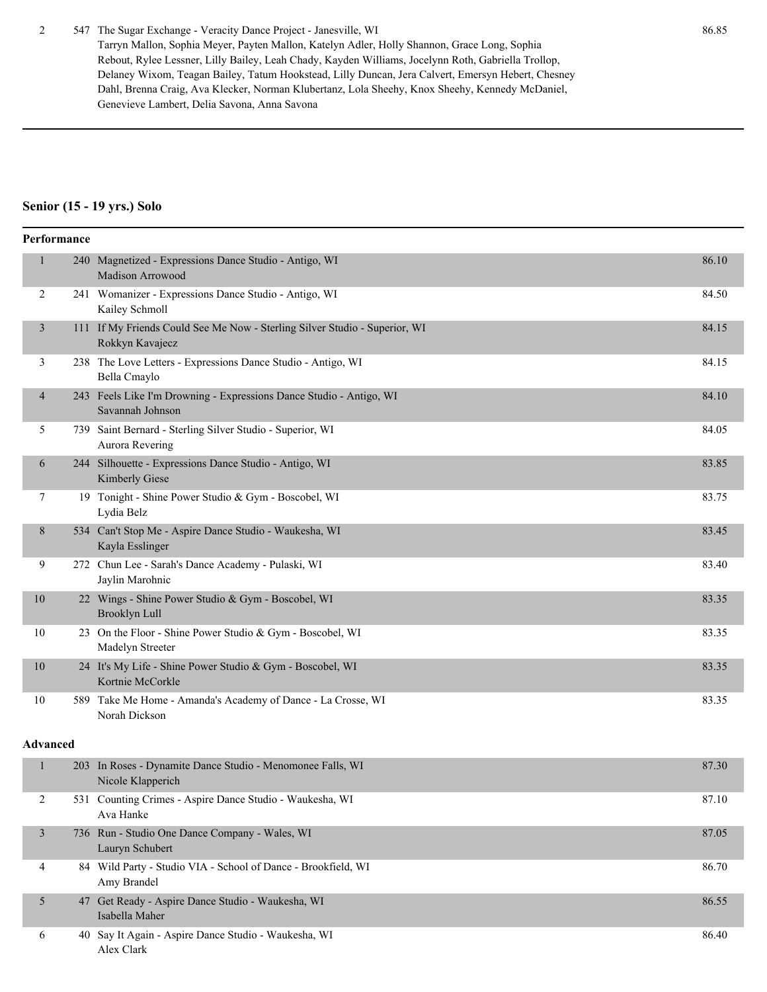#### 2 547 The Sugar Exchange - Veracity Dance Project - Janesville, WI 86.85

Tarryn Mallon, Sophia Meyer, Payten Mallon, Katelyn Adler, Holly Shannon, Grace Long, Sophia Rebout, Rylee Lessner, Lilly Bailey, Leah Chady, Kayden Williams, Jocelynn Roth, Gabriella Trollop, Delaney Wixom, Teagan Bailey, Tatum Hookstead, Lilly Duncan, Jera Calvert, Emersyn Hebert, Chesney Dahl, Brenna Craig, Ava Klecker, Norman Klubertanz, Lola Sheehy, Knox Sheehy, Kennedy McDaniel, Genevieve Lambert, Delia Savona, Anna Savona

#### **Senior (15 - 19 yrs.) Solo**

|                | Performance |                                                                                               |       |
|----------------|-------------|-----------------------------------------------------------------------------------------------|-------|
| $\mathbf{1}$   |             | 240 Magnetized - Expressions Dance Studio - Antigo, WI<br>Madison Arrowood                    | 86.10 |
| 2              |             | 241 Womanizer - Expressions Dance Studio - Antigo, WI<br>Kailey Schmoll                       | 84.50 |
| 3              |             | 111 If My Friends Could See Me Now - Sterling Silver Studio - Superior, WI<br>Rokkyn Kavajecz | 84.15 |
| 3              |             | 238 The Love Letters - Expressions Dance Studio - Antigo, WI<br>Bella Cmaylo                  | 84.15 |
| $\overline{4}$ |             | 243 Feels Like I'm Drowning - Expressions Dance Studio - Antigo, WI<br>Savannah Johnson       | 84.10 |
| 5              |             | 739 Saint Bernard - Sterling Silver Studio - Superior, WI<br>Aurora Revering                  | 84.05 |
| 6              |             | 244 Silhouette - Expressions Dance Studio - Antigo, WI<br>Kimberly Giese                      | 83.85 |
| 7              |             | 19 Tonight - Shine Power Studio & Gym - Boscobel, WI<br>Lydia Belz                            | 83.75 |
| 8              |             | 534 Can't Stop Me - Aspire Dance Studio - Waukesha, WI<br>Kayla Esslinger                     | 83.45 |
| 9              |             | 272 Chun Lee - Sarah's Dance Academy - Pulaski, WI<br>Jaylin Marohnic                         | 83.40 |
| 10             |             | 22 Wings - Shine Power Studio & Gym - Boscobel, WI<br><b>Brooklyn Lull</b>                    | 83.35 |
| 10             |             | 23 On the Floor - Shine Power Studio & Gym - Boscobel, WI<br>Madelyn Streeter                 | 83.35 |
| 10             |             | 24 It's My Life - Shine Power Studio & Gym - Boscobel, WI<br>Kortnie McCorkle                 | 83.35 |
| 10             |             | 589 Take Me Home - Amanda's Academy of Dance - La Crosse, WI<br>Norah Dickson                 | 83.35 |
| Advanced       |             |                                                                                               |       |
| $\mathbf{1}$   |             | 203 In Roses - Dynamite Dance Studio - Menomonee Falls, WI<br>Nicole Klapperich               | 87.30 |
| 2              |             | 531 Counting Crimes - Aspire Dance Studio - Waukesha, WI<br>Ava Hanke                         | 87.10 |

|              | 736 Run - Studio One Dance Company - Wales, WI<br>Lauryn Schubert            | 87.05 |
|--------------|------------------------------------------------------------------------------|-------|
|              | 84 Wild Party - Studio VIA - School of Dance - Brookfield, WI<br>Amy Brandel | 86.70 |
|              | 47 Get Ready - Aspire Dance Studio - Waukesha, WI<br>Isabella Maher          | 86.55 |
| $\mathbf{a}$ | 40 Say It Again - Aspire Dance Studio - Waukesha, WI<br>Alex Clark           | 86.40 |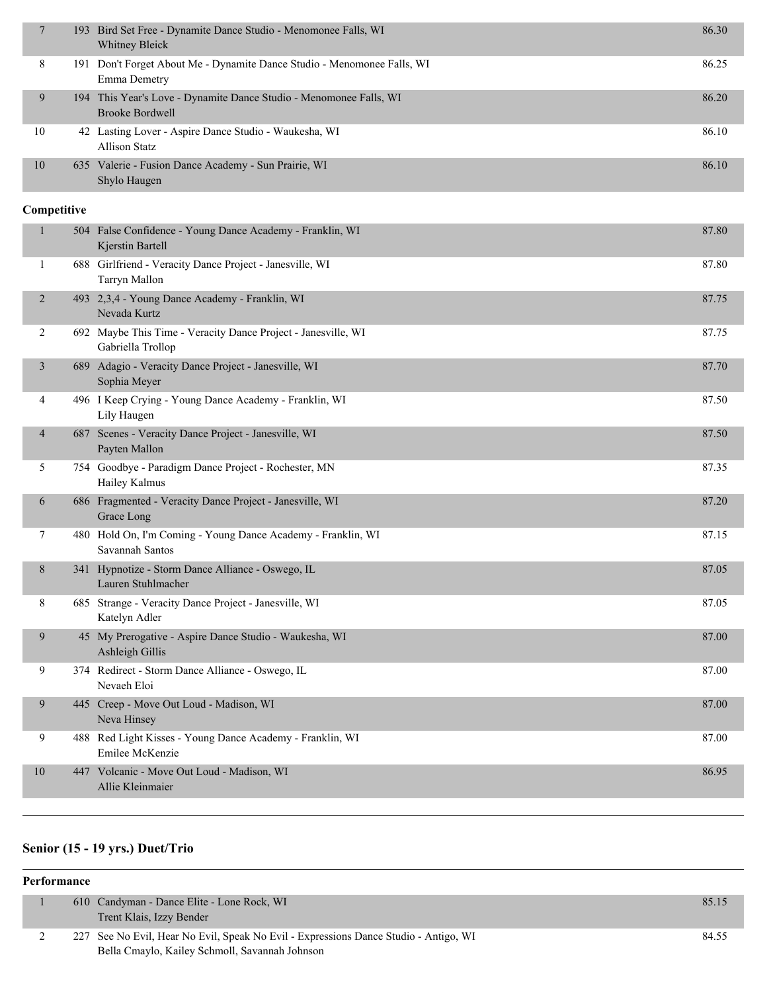|    | 193 Bird Set Free - Dynamite Dance Studio - Menomonee Falls, WI<br>Whitney Bleick            | 86.30 |
|----|----------------------------------------------------------------------------------------------|-------|
| 8  | 191 Don't Forget About Me - Dynamite Dance Studio - Menomonee Falls, WI<br>Emma Demetry      | 86.25 |
| 9  | 194 This Year's Love - Dynamite Dance Studio - Menomonee Falls, WI<br><b>Brooke Bordwell</b> | 86.20 |
| 10 | 42 Lasting Lover - Aspire Dance Studio - Waukesha, WI<br>Allison Statz                       | 86.10 |
| 10 | 635 Valerie - Fusion Dance Academy - Sun Prairie, WI<br>Shylo Haugen                         | 86.10 |

#### **Competitive**

| $\mathbf{1}$             | 504 False Confidence - Young Dance Academy - Franklin, WI<br>Kjerstin Bartell      | 87.80 |
|--------------------------|------------------------------------------------------------------------------------|-------|
| 1                        | 688 Girlfriend - Veracity Dance Project - Janesville, WI<br>Tarryn Mallon          | 87.80 |
| $\overline{2}$           | 493 2,3,4 - Young Dance Academy - Franklin, WI<br>Nevada Kurtz                     | 87.75 |
| $\overline{2}$           | 692 Maybe This Time - Veracity Dance Project - Janesville, WI<br>Gabriella Trollop | 87.75 |
| 3                        | 689 Adagio - Veracity Dance Project - Janesville, WI<br>Sophia Meyer               | 87.70 |
| 4                        | 496 I Keep Crying - Young Dance Academy - Franklin, WI<br>Lily Haugen              | 87.50 |
| $\overline{\mathcal{A}}$ | 687 Scenes - Veracity Dance Project - Janesville, WI<br>Payten Mallon              | 87.50 |
| 5                        | 754 Goodbye - Paradigm Dance Project - Rochester, MN<br>Hailey Kalmus              | 87.35 |
| 6                        | 686 Fragmented - Veracity Dance Project - Janesville, WI<br>Grace Long             | 87.20 |
| 7                        | 480 Hold On, I'm Coming - Young Dance Academy - Franklin, WI<br>Savannah Santos    | 87.15 |
| 8                        | 341 Hypnotize - Storm Dance Alliance - Oswego, IL<br>Lauren Stuhlmacher            | 87.05 |
| 8                        | 685 Strange - Veracity Dance Project - Janesville, WI<br>Katelyn Adler             | 87.05 |
| 9                        | 45 My Prerogative - Aspire Dance Studio - Waukesha, WI<br>Ashleigh Gillis          | 87.00 |
| 9                        | 374 Redirect - Storm Dance Alliance - Oswego, IL<br>Nevaeh Eloi                    | 87.00 |
| 9                        | 445 Creep - Move Out Loud - Madison, WI<br>Neva Hinsey                             | 87.00 |
| 9                        | 488 Red Light Kisses - Young Dance Academy - Franklin, WI<br>Emilee McKenzie       | 87.00 |
| 10                       | 447 Volcanic - Move Out Loud - Madison, WI<br>Allie Kleinmaier                     | 86.95 |

### **Senior (15 - 19 yrs.) Duet/Trio**

| Performance |  |                                                                                                                                        |       |  |
|-------------|--|----------------------------------------------------------------------------------------------------------------------------------------|-------|--|
|             |  | 610 Candyman - Dance Elite - Lone Rock, WI<br>Trent Klais, Izzy Bender                                                                 | 85.15 |  |
|             |  | 227 See No Evil, Hear No Evil, Speak No Evil - Expressions Dance Studio - Antigo, WI<br>Bella Cmaylo, Kailey Schmoll, Savannah Johnson | 84.55 |  |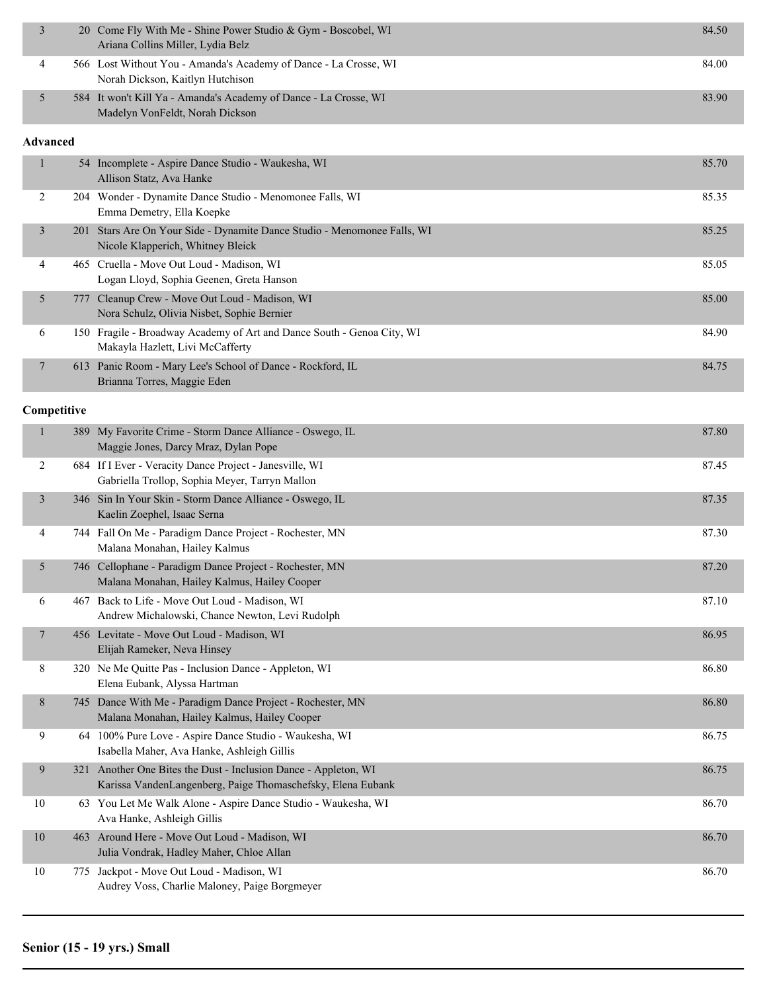| 3               |             | 20 Come Fly With Me - Shine Power Studio & Gym - Boscobel, WI<br>Ariana Collins Miller, Lydia Belz                             | 84.50 |
|-----------------|-------------|--------------------------------------------------------------------------------------------------------------------------------|-------|
| 4               |             | 566 Lost Without You - Amanda's Academy of Dance - La Crosse, WI<br>Norah Dickson, Kaitlyn Hutchison                           | 84.00 |
| 5               |             | 584 It won't Kill Ya - Amanda's Academy of Dance - La Crosse, WI<br>Madelyn VonFeldt, Norah Dickson                            | 83.90 |
| <b>Advanced</b> |             |                                                                                                                                |       |
| 1               |             | 54 Incomplete - Aspire Dance Studio - Waukesha, WI<br>Allison Statz, Ava Hanke                                                 | 85.70 |
| 2               |             | 204 Wonder - Dynamite Dance Studio - Menomonee Falls, WI<br>Emma Demetry, Ella Koepke                                          | 85.35 |
| 3               |             | 201 Stars Are On Your Side - Dynamite Dance Studio - Menomonee Falls, WI<br>Nicole Klapperich, Whitney Bleick                  | 85.25 |
| 4               |             | 465 Cruella - Move Out Loud - Madison, WI<br>Logan Lloyd, Sophia Geenen, Greta Hanson                                          | 85.05 |
| 5               |             | 777 Cleanup Crew - Move Out Loud - Madison, WI<br>Nora Schulz, Olivia Nisbet, Sophie Bernier                                   | 85.00 |
| 6               |             | 150 Fragile - Broadway Academy of Art and Dance South - Genoa City, WI<br>Makayla Hazlett, Livi McCafferty                     | 84.90 |
| 7               |             | 613 Panic Room - Mary Lee's School of Dance - Rockford, IL<br>Brianna Torres, Maggie Eden                                      | 84.75 |
|                 | Competitive |                                                                                                                                |       |
| 1               |             | 389 My Favorite Crime - Storm Dance Alliance - Oswego, IL<br>Maggie Jones, Darcy Mraz, Dylan Pope                              | 87.80 |
| 2               |             | 684 If I Ever - Veracity Dance Project - Janesville, WI<br>Gabriella Trollop, Sophia Meyer, Tarryn Mallon                      | 87.45 |
| 3               |             | 346 Sin In Your Skin - Storm Dance Alliance - Oswego, IL<br>Kaelin Zoephel, Isaac Serna                                        | 87.35 |
| 4               |             | 744 Fall On Me - Paradigm Dance Project - Rochester, MN<br>Malana Monahan, Hailey Kalmus                                       | 87.30 |
| 5               |             | 746 Cellophane - Paradigm Dance Project - Rochester, MN<br>Malana Monahan, Hailey Kalmus, Hailey Cooper                        | 87.20 |
| 6               |             | 467 Back to Life - Move Out Loud - Madison, WI<br>Andrew Michalowski, Chance Newton, Levi Rudolph                              | 87.10 |
| 7               |             | 456 Levitate - Move Out Loud - Madison, WI<br>Elijah Rameker, Neva Hinsey                                                      | 86.95 |
| 8               |             | 320 Ne Me Quitte Pas - Inclusion Dance - Appleton, WI<br>Elena Eubank, Alyssa Hartman                                          | 86.80 |
| 8               |             | 745 Dance With Me - Paradigm Dance Project - Rochester, MN<br>Malana Monahan, Hailey Kalmus, Hailey Cooper                     | 86.80 |
| 9               |             | 64 100% Pure Love - Aspire Dance Studio - Waukesha, WI<br>Isabella Maher, Ava Hanke, Ashleigh Gillis                           | 86.75 |
| 9               |             | 321 Another One Bites the Dust - Inclusion Dance - Appleton, WI<br>Karissa VandenLangenberg, Paige Thomaschefsky, Elena Eubank | 86.75 |
| 10              |             | 63 You Let Me Walk Alone - Aspire Dance Studio - Waukesha, WI<br>Ava Hanke, Ashleigh Gillis                                    | 86.70 |
| $10\,$          |             | 463 Around Here - Move Out Loud - Madison, WI<br>Julia Vondrak, Hadley Maher, Chloe Allan                                      | 86.70 |
| 10              | 775         | Jackpot - Move Out Loud - Madison, WI<br>Audrey Voss, Charlie Maloney, Paige Borgmeyer                                         | 86.70 |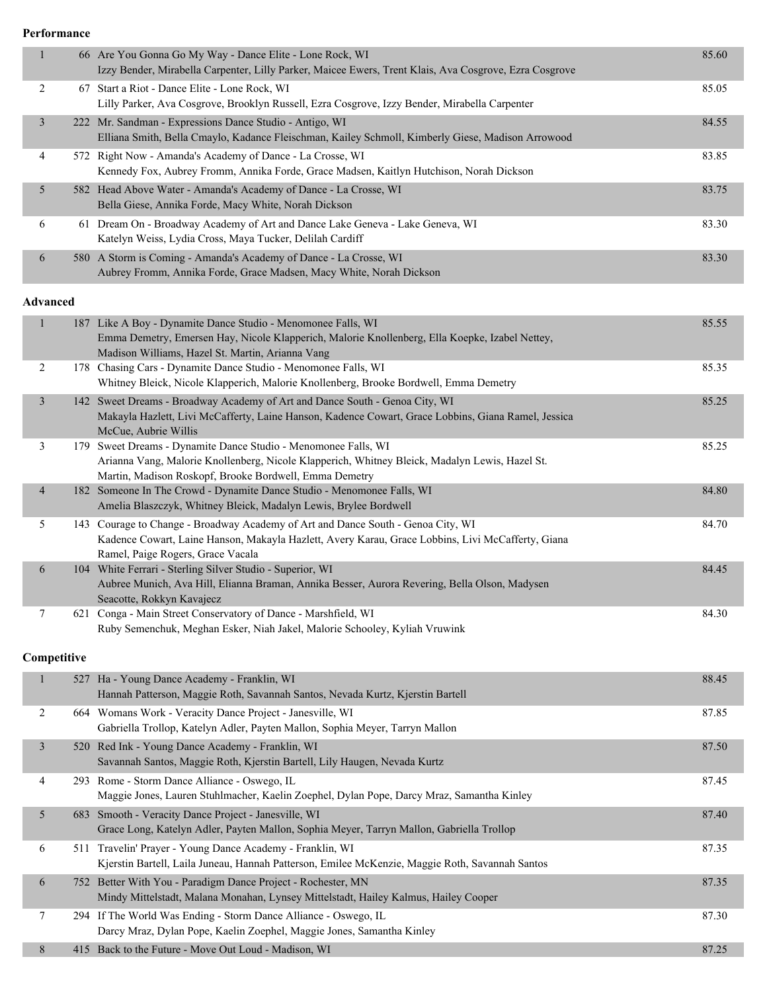**Performance**

| $\mathbf{1}$    | 66 Are You Gonna Go My Way - Dance Elite - Lone Rock, WI<br>Izzy Bender, Mirabella Carpenter, Lilly Parker, Maicee Ewers, Trent Klais, Ava Cosgrove, Ezra Cosgrove                                                         | 85.60 |
|-----------------|----------------------------------------------------------------------------------------------------------------------------------------------------------------------------------------------------------------------------|-------|
| $\overline{c}$  | 67 Start a Riot - Dance Elite - Lone Rock, WI<br>Lilly Parker, Ava Cosgrove, Brooklyn Russell, Ezra Cosgrove, Izzy Bender, Mirabella Carpenter                                                                             | 85.05 |
| $\mathfrak{Z}$  | 222 Mr. Sandman - Expressions Dance Studio - Antigo, WI<br>Elliana Smith, Bella Cmaylo, Kadance Fleischman, Kailey Schmoll, Kimberly Giese, Madison Arrowood                                                               | 84.55 |
| 4               | 572 Right Now - Amanda's Academy of Dance - La Crosse, WI<br>Kennedy Fox, Aubrey Fromm, Annika Forde, Grace Madsen, Kaitlyn Hutchison, Norah Dickson                                                                       | 83.85 |
| 5               | 582 Head Above Water - Amanda's Academy of Dance - La Crosse, WI<br>Bella Giese, Annika Forde, Macy White, Norah Dickson                                                                                                   | 83.75 |
| 6               | 61 Dream On - Broadway Academy of Art and Dance Lake Geneva - Lake Geneva, WI<br>Katelyn Weiss, Lydia Cross, Maya Tucker, Delilah Cardiff                                                                                  | 83.30 |
| $\sqrt{6}$      | 580 A Storm is Coming - Amanda's Academy of Dance - La Crosse, WI<br>Aubrey Fromm, Annika Forde, Grace Madsen, Macy White, Norah Dickson                                                                                   | 83.30 |
| <b>Advanced</b> |                                                                                                                                                                                                                            |       |
| $\mathbf{1}$    | 187 Like A Boy - Dynamite Dance Studio - Menomonee Falls, WI<br>Emma Demetry, Emersen Hay, Nicole Klapperich, Malorie Knollenberg, Ella Koepke, Izabel Nettey,<br>Madison Williams, Hazel St. Martin, Arianna Vang         | 85.55 |
| $\overline{2}$  | 178 Chasing Cars - Dynamite Dance Studio - Menomonee Falls, WI<br>Whitney Bleick, Nicole Klapperich, Malorie Knollenberg, Brooke Bordwell, Emma Demetry                                                                    | 85.35 |
| 3               | 142 Sweet Dreams - Broadway Academy of Art and Dance South - Genoa City, WI<br>Makayla Hazlett, Livi McCafferty, Laine Hanson, Kadence Cowart, Grace Lobbins, Giana Ramel, Jessica<br>McCue, Aubrie Willis                 | 85.25 |
| 3               | 179 Sweet Dreams - Dynamite Dance Studio - Menomonee Falls, WI<br>Arianna Vang, Malorie Knollenberg, Nicole Klapperich, Whitney Bleick, Madalyn Lewis, Hazel St.<br>Martin, Madison Roskopf, Brooke Bordwell, Emma Demetry | 85.25 |
| $\overline{4}$  | 182 Someone In The Crowd - Dynamite Dance Studio - Menomonee Falls, WI<br>Amelia Blaszczyk, Whitney Bleick, Madalyn Lewis, Brylee Bordwell                                                                                 | 84.80 |
| 5               | 143 Courage to Change - Broadway Academy of Art and Dance South - Genoa City, WI<br>Kadence Cowart, Laine Hanson, Makayla Hazlett, Avery Karau, Grace Lobbins, Livi McCafferty, Giana<br>Ramel, Paige Rogers, Grace Vacala | 84.70 |
| 6               | 104 White Ferrari - Sterling Silver Studio - Superior, WI<br>Aubree Munich, Ava Hill, Elianna Braman, Annika Besser, Aurora Revering, Bella Olson, Madysen<br>Seacotte, Rokkyn Kavajecz                                    | 84.45 |
| $\overline{7}$  | 621 Conga - Main Street Conservatory of Dance - Marshfield, WI<br>Ruby Semenchuk, Meghan Esker, Niah Jakel, Malorie Schooley, Kyliah Vruwink                                                                               | 84.30 |
| Competitive     |                                                                                                                                                                                                                            |       |
| $\mathbf{1}$    | 527 Ha - Young Dance Academy - Franklin, WI<br>Hannah Patterson, Maggie Roth, Savannah Santos, Nevada Kurtz, Kjerstin Bartell                                                                                              | 88.45 |
| 2               | 664 Womans Work - Veracity Dance Project - Janesville, WI<br>Gabriella Trollop, Katelyn Adler, Payten Mallon, Sophia Meyer, Tarryn Mallon                                                                                  | 87.85 |
| $\mathfrak{Z}$  | 520 Red Ink - Young Dance Academy - Franklin, WI<br>Savannah Santos, Maggie Roth, Kjerstin Bartell, Lily Haugen, Nevada Kurtz                                                                                              | 87.50 |
| 4               | 293 Rome - Storm Dance Alliance - Oswego, IL<br>Maggie Jones, Lauren Stuhlmacher, Kaelin Zoephel, Dylan Pope, Darcy Mraz, Samantha Kinley                                                                                  | 87.45 |
| 5               | 683 Smooth - Veracity Dance Project - Janesville, WI<br>Grace Long, Katelyn Adler, Payten Mallon, Sophia Meyer, Tarryn Mallon, Gabriella Trollop                                                                           | 87.40 |
| 6               | 511 Travelin' Prayer - Young Dance Academy - Franklin, WI<br>Kjerstin Bartell, Laila Juneau, Hannah Patterson, Emilee McKenzie, Maggie Roth, Savannah Santos                                                               | 87.35 |
| 6               | 752 Better With You - Paradigm Dance Project - Rochester, MN<br>Mindy Mittelstadt, Malana Monahan, Lynsey Mittelstadt, Hailey Kalmus, Hailey Cooper                                                                        | 87.35 |
| $\tau$          | 294 If The World Was Ending - Storm Dance Alliance - Oswego, IL<br>Darcy Mraz, Dylan Pope, Kaelin Zoephel, Maggie Jones, Samantha Kinley                                                                                   | 87.30 |
| 8               | 415 Back to the Future - Move Out Loud - Madison, WI                                                                                                                                                                       | 87.25 |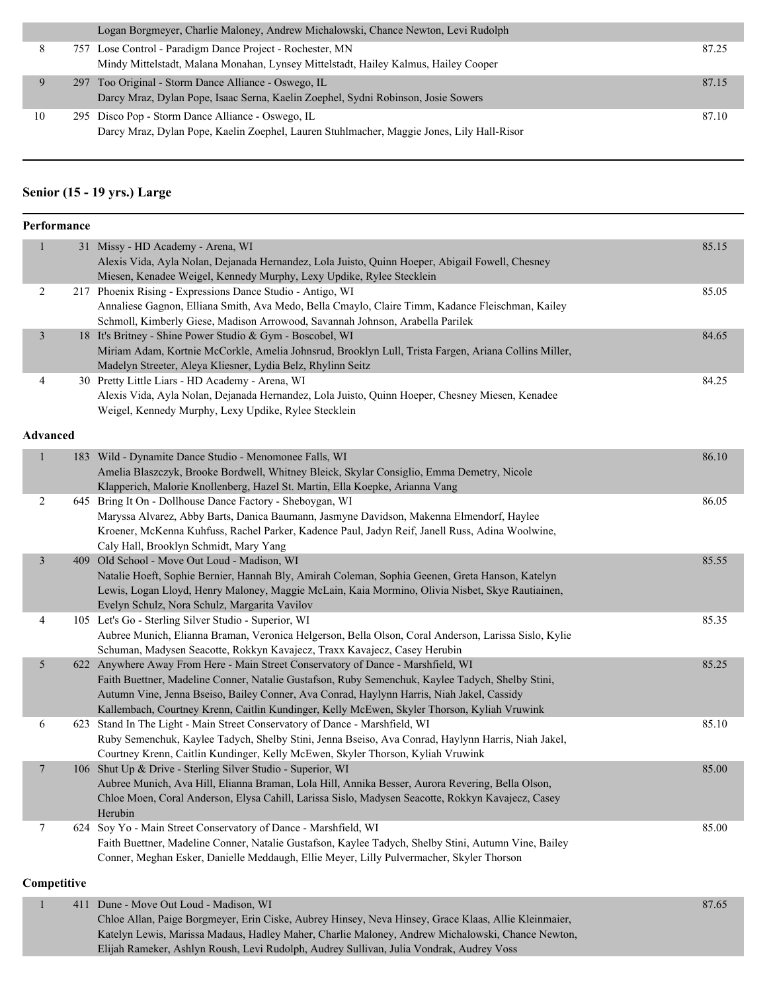|    | Logan Borgmeyer, Charlie Maloney, Andrew Michalowski, Chance Newton, Levi Rudolph                                                                |       |
|----|--------------------------------------------------------------------------------------------------------------------------------------------------|-------|
|    | 757 Lose Control - Paradigm Dance Project - Rochester, MN<br>Mindy Mittelstadt, Malana Monahan, Lynsey Mittelstadt, Hailey Kalmus, Hailey Cooper | 87.25 |
|    | 297 Too Original - Storm Dance Alliance - Oswego, IL<br>Darcy Mraz, Dylan Pope, Isaac Serna, Kaelin Zoephel, Sydni Robinson, Josie Sowers        | 87.15 |
| 10 | 295 Disco Pop - Storm Dance Alliance - Oswego, IL<br>Darcy Mraz, Dylan Pope, Kaelin Zoephel, Lauren Stuhlmacher, Maggie Jones, Lily Hall-Risor   | 87.10 |

#### **Senior (15 - 19 yrs.) Large**

|                | Performance |                                                                                                                                                                 |       |
|----------------|-------------|-----------------------------------------------------------------------------------------------------------------------------------------------------------------|-------|
| $\mathbf{1}$   |             | 31 Missy - HD Academy - Arena, WI                                                                                                                               | 85.15 |
|                |             | Alexis Vida, Ayla Nolan, Dejanada Hernandez, Lola Juisto, Quinn Hoeper, Abigail Fowell, Chesney                                                                 |       |
|                |             | Miesen, Kenadee Weigel, Kennedy Murphy, Lexy Updike, Rylee Stecklein                                                                                            |       |
| $\overline{2}$ |             | 217 Phoenix Rising - Expressions Dance Studio - Antigo, WI                                                                                                      | 85.05 |
|                |             | Annaliese Gagnon, Elliana Smith, Ava Medo, Bella Cmaylo, Claire Timm, Kadance Fleischman, Kailey                                                                |       |
|                |             | Schmoll, Kimberly Giese, Madison Arrowood, Savannah Johnson, Arabella Parilek                                                                                   |       |
| $\mathfrak{Z}$ |             | 18 It's Britney - Shine Power Studio & Gym - Boscobel, WI                                                                                                       | 84.65 |
|                |             | Miriam Adam, Kortnie McCorkle, Amelia Johnsrud, Brooklyn Lull, Trista Fargen, Ariana Collins Miller,                                                            |       |
|                |             | Madelyn Streeter, Aleya Kliesner, Lydia Belz, Rhylinn Seitz                                                                                                     |       |
| 4              |             | 30 Pretty Little Liars - HD Academy - Arena, WI                                                                                                                 | 84.25 |
|                |             | Alexis Vida, Ayla Nolan, Dejanada Hernandez, Lola Juisto, Quinn Hoeper, Chesney Miesen, Kenadee                                                                 |       |
|                |             | Weigel, Kennedy Murphy, Lexy Updike, Rylee Stecklein                                                                                                            |       |
| Advanced       |             |                                                                                                                                                                 |       |
| $\mathbf{1}$   |             | 183 Wild - Dynamite Dance Studio - Menomonee Falls, WI                                                                                                          | 86.10 |
|                |             | Amelia Blaszczyk, Brooke Bordwell, Whitney Bleick, Skylar Consiglio, Emma Demetry, Nicole                                                                       |       |
|                |             | Klapperich, Malorie Knollenberg, Hazel St. Martin, Ella Koepke, Arianna Vang                                                                                    |       |
| 2              |             | 645 Bring It On - Dollhouse Dance Factory - Sheboygan, WI                                                                                                       | 86.05 |
|                |             | Maryssa Alvarez, Abby Barts, Danica Baumann, Jasmyne Davidson, Makenna Elmendorf, Haylee                                                                        |       |
|                |             | Kroener, McKenna Kuhfuss, Rachel Parker, Kadence Paul, Jadyn Reif, Janell Russ, Adina Woolwine,                                                                 |       |
|                |             | Caly Hall, Brooklyn Schmidt, Mary Yang                                                                                                                          |       |
| $\mathfrak{Z}$ |             | 409 Old School - Move Out Loud - Madison, WI                                                                                                                    | 85.55 |
|                |             | Natalie Hoeft, Sophie Bernier, Hannah Bly, Amirah Coleman, Sophia Geenen, Greta Hanson, Katelyn                                                                 |       |
|                |             | Lewis, Logan Lloyd, Henry Maloney, Maggie McLain, Kaia Mormino, Olivia Nisbet, Skye Rautiainen,                                                                 |       |
|                |             | Evelyn Schulz, Nora Schulz, Margarita Vavilov                                                                                                                   |       |
| 4              |             | 105 Let's Go - Sterling Silver Studio - Superior, WI                                                                                                            | 85.35 |
|                |             | Aubree Munich, Elianna Braman, Veronica Helgerson, Bella Olson, Coral Anderson, Larissa Sislo, Kylie                                                            |       |
|                |             | Schuman, Madysen Seacotte, Rokkyn Kavajecz, Traxx Kavajecz, Casey Herubin                                                                                       |       |
| 5              |             | 622 Anywhere Away From Here - Main Street Conservatory of Dance - Marshfield, WI                                                                                | 85.25 |
|                |             | Faith Buettner, Madeline Conner, Natalie Gustafson, Ruby Semenchuk, Kaylee Tadych, Shelby Stini,                                                                |       |
|                |             | Autumn Vine, Jenna Bseiso, Bailey Conner, Ava Conrad, Haylynn Harris, Niah Jakel, Cassidy                                                                       |       |
|                |             | Kallembach, Courtney Krenn, Caitlin Kundinger, Kelly McEwen, Skyler Thorson, Kyliah Vruwink                                                                     |       |
| 6              |             | 623 Stand In The Light - Main Street Conservatory of Dance - Marshfield, WI                                                                                     | 85.10 |
|                |             | Ruby Semenchuk, Kaylee Tadych, Shelby Stini, Jenna Bseiso, Ava Conrad, Haylynn Harris, Niah Jakel,                                                              |       |
|                |             | Courtney Krenn, Caitlin Kundinger, Kelly McEwen, Skyler Thorson, Kyliah Vruwink                                                                                 |       |
| $\overline{7}$ |             | 106 Shut Up & Drive - Sterling Silver Studio - Superior, WI<br>Aubree Munich, Ava Hill, Elianna Braman, Lola Hill, Annika Besser, Aurora Revering, Bella Olson, | 85.00 |
|                |             |                                                                                                                                                                 |       |
|                |             | Chloe Moen, Coral Anderson, Elysa Cahill, Larissa Sislo, Madysen Seacotte, Rokkyn Kavajecz, Casey<br>Herubin                                                    |       |
| $\tau$         |             | 624 Soy Yo - Main Street Conservatory of Dance - Marshfield, WI                                                                                                 | 85.00 |
|                |             | Faith Buettner, Madeline Conner, Natalie Gustafson, Kaylee Tadych, Shelby Stini, Autumn Vine, Bailey                                                            |       |
|                |             | Conner, Meghan Esker, Danielle Meddaugh, Ellie Meyer, Lilly Pulvermacher, Skyler Thorson                                                                        |       |
| Competitive    |             |                                                                                                                                                                 |       |
|                |             |                                                                                                                                                                 |       |
| $\mathbf{1}$   | 411         | Dune - Move Out Loud - Madison, WI                                                                                                                              | 87.65 |
|                |             | Chloe Allan, Paige Borgmeyer, Erin Ciske, Aubrey Hinsey, Neva Hinsey, Grace Klaas, Allie Kleinmaier,                                                            |       |
|                |             | Katelyn Lewis, Marissa Madaus, Hadley Maher, Charlie Maloney, Andrew Michalowski, Chance Newton,                                                                |       |
|                |             | Elijah Rameker, Ashlyn Roush, Levi Rudolph, Audrey Sullivan, Julia Vondrak, Audrey Voss                                                                         |       |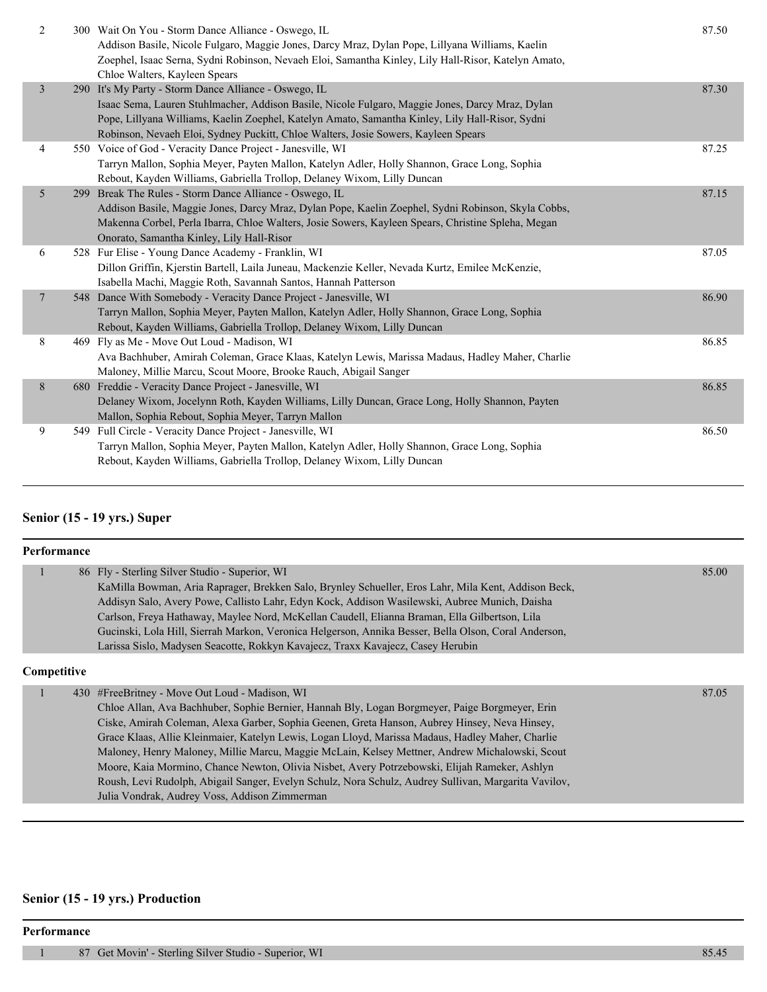| $\overline{2}$  | 300 Wait On You - Storm Dance Alliance - Oswego, IL<br>Addison Basile, Nicole Fulgaro, Maggie Jones, Darcy Mraz, Dylan Pope, Lillyana Williams, Kaelin<br>Zoephel, Isaac Serna, Sydni Robinson, Nevaeh Eloi, Samantha Kinley, Lily Hall-Risor, Katelyn Amato,<br>Chloe Walters, Kayleen Spears                                                    | 87.50 |
|-----------------|---------------------------------------------------------------------------------------------------------------------------------------------------------------------------------------------------------------------------------------------------------------------------------------------------------------------------------------------------|-------|
| 3               | 290 It's My Party - Storm Dance Alliance - Oswego, IL<br>Isaac Sema, Lauren Stuhlmacher, Addison Basile, Nicole Fulgaro, Maggie Jones, Darcy Mraz, Dylan<br>Pope, Lillyana Williams, Kaelin Zoephel, Katelyn Amato, Samantha Kinley, Lily Hall-Risor, Sydni<br>Robinson, Nevaeh Eloi, Sydney Puckitt, Chloe Walters, Josie Sowers, Kayleen Spears | 87.30 |
| 4               | 550 Voice of God - Veracity Dance Project - Janesville, WI<br>Tarryn Mallon, Sophia Meyer, Payten Mallon, Katelyn Adler, Holly Shannon, Grace Long, Sophia<br>Rebout, Kayden Williams, Gabriella Trollop, Delaney Wixom, Lilly Duncan                                                                                                             | 87.25 |
| 5               | 299 Break The Rules - Storm Dance Alliance - Oswego, IL<br>Addison Basile, Maggie Jones, Darcy Mraz, Dylan Pope, Kaelin Zoephel, Sydni Robinson, Skyla Cobbs,<br>Makenna Corbel, Perla Ibarra, Chloe Walters, Josie Sowers, Kayleen Spears, Christine Spleha, Megan<br>Onorato, Samantha Kinley, Lily Hall-Risor                                  | 87.15 |
| 6               | 528 Fur Elise - Young Dance Academy - Franklin, WI<br>Dillon Griffin, Kjerstin Bartell, Laila Juneau, Mackenzie Keller, Nevada Kurtz, Emilee McKenzie,<br>Isabella Machi, Maggie Roth, Savannah Santos, Hannah Patterson                                                                                                                          | 87.05 |
| $7\phantom{.0}$ | 548 Dance With Somebody - Veracity Dance Project - Janesville, WI<br>Tarryn Mallon, Sophia Meyer, Payten Mallon, Katelyn Adler, Holly Shannon, Grace Long, Sophia<br>Rebout, Kayden Williams, Gabriella Trollop, Delaney Wixom, Lilly Duncan                                                                                                      | 86.90 |
| 8               | 469 Fly as Me - Move Out Loud - Madison, WI<br>Ava Bachhuber, Amirah Coleman, Grace Klaas, Katelyn Lewis, Marissa Madaus, Hadley Maher, Charlie<br>Maloney, Millie Marcu, Scout Moore, Brooke Rauch, Abigail Sanger                                                                                                                               | 86.85 |
| 8               | 680 Freddie - Veracity Dance Project - Janesville, WI<br>Delaney Wixom, Jocelynn Roth, Kayden Williams, Lilly Duncan, Grace Long, Holly Shannon, Payten<br>Mallon, Sophia Rebout, Sophia Meyer, Tarryn Mallon                                                                                                                                     | 86.85 |
| 9               | 549 Full Circle - Veracity Dance Project - Janesville, WI<br>Tarryn Mallon, Sophia Meyer, Payten Mallon, Katelyn Adler, Holly Shannon, Grace Long, Sophia<br>Rebout, Kayden Williams, Gabriella Trollop, Delaney Wixom, Lilly Duncan                                                                                                              | 86.50 |

# **Senior (15 - 19 yrs.) Super**

| <b>Performance</b> |  |                                                                                                                                                                                                                                                                                                                                                                                                                                                                                                                                                                                                                                                                                                                   |       |  |
|--------------------|--|-------------------------------------------------------------------------------------------------------------------------------------------------------------------------------------------------------------------------------------------------------------------------------------------------------------------------------------------------------------------------------------------------------------------------------------------------------------------------------------------------------------------------------------------------------------------------------------------------------------------------------------------------------------------------------------------------------------------|-------|--|
| $\mathbf{1}$       |  | 86 Fly - Sterling Silver Studio - Superior, WI<br>KaMilla Bowman, Aria Raprager, Brekken Salo, Brynley Schueller, Eros Lahr, Mila Kent, Addison Beck,<br>Addisyn Salo, Avery Powe, Callisto Lahr, Edyn Kock, Addison Wasilewski, Aubree Munich, Daisha<br>Carlson, Freya Hathaway, Maylee Nord, McKellan Caudell, Elianna Braman, Ella Gilbertson, Lila<br>Gucinski, Lola Hill, Sierrah Markon, Veronica Helgerson, Annika Besser, Bella Olson, Coral Anderson,<br>Larissa Sislo, Madysen Seacotte, Rokkyn Kavajecz, Traxx Kavajecz, Casey Herubin                                                                                                                                                                | 85.00 |  |
| Competitive        |  |                                                                                                                                                                                                                                                                                                                                                                                                                                                                                                                                                                                                                                                                                                                   |       |  |
|                    |  | 430 #FreeBritney - Move Out Loud - Madison, WI<br>Chloe Allan, Ava Bachhuber, Sophie Bernier, Hannah Bly, Logan Borgmeyer, Paige Borgmeyer, Erin<br>Ciske, Amirah Coleman, Alexa Garber, Sophia Geenen, Greta Hanson, Aubrey Hinsey, Neva Hinsey,<br>Grace Klaas, Allie Kleinmaier, Katelyn Lewis, Logan Lloyd, Marissa Madaus, Hadley Maher, Charlie<br>Maloney, Henry Maloney, Millie Marcu, Maggie McLain, Kelsey Mettner, Andrew Michalowski, Scout<br>Moore, Kaia Mormino, Chance Newton, Olivia Nisbet, Avery Potrzebowski, Elijah Rameker, Ashlyn<br>Roush, Levi Rudolph, Abigail Sanger, Evelyn Schulz, Nora Schulz, Audrey Sullivan, Margarita Vavilov,<br>Julia Vondrak, Audrey Voss, Addison Zimmerman | 87.05 |  |

#### **Senior (15 - 19 yrs.) Production**